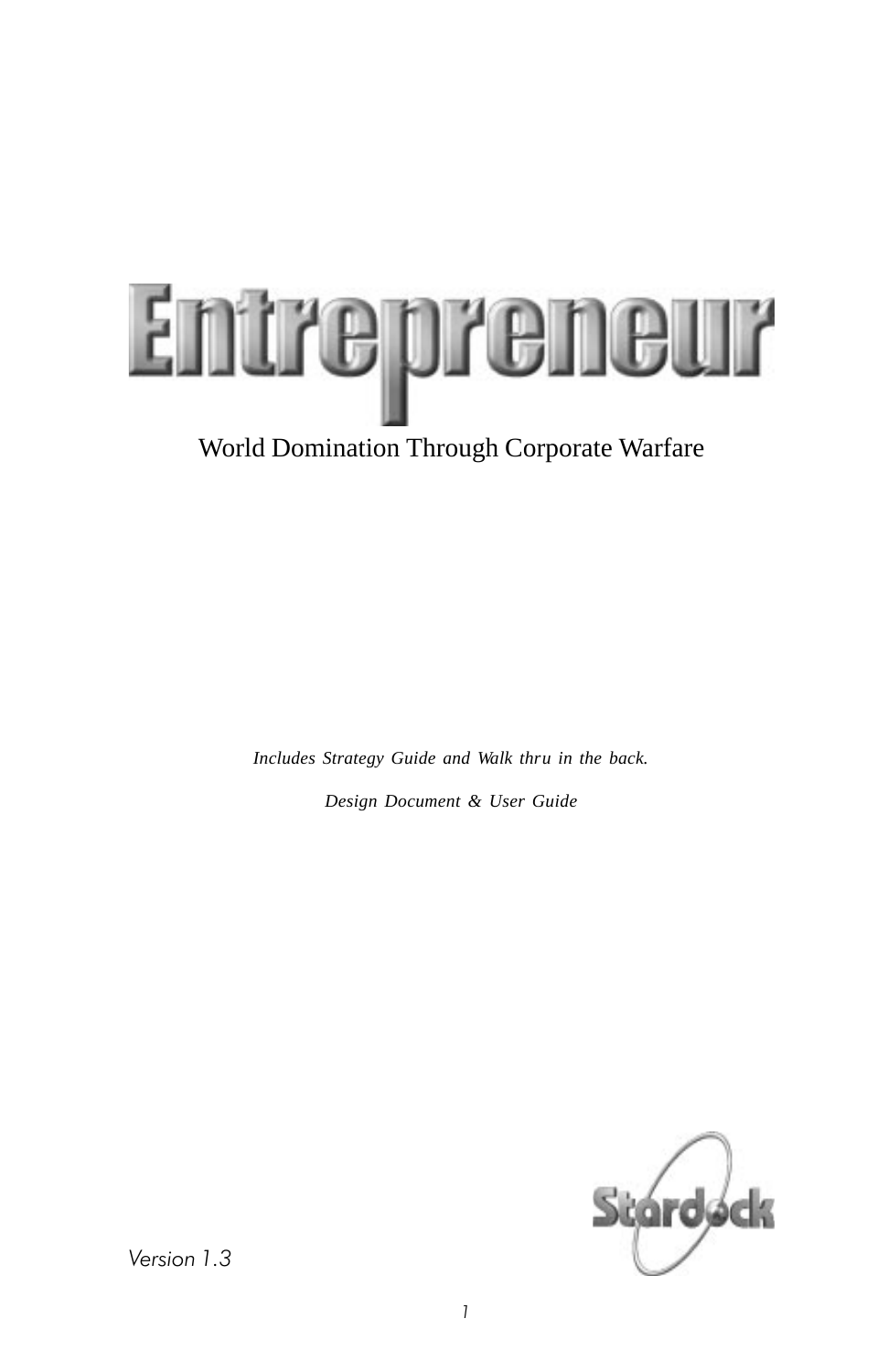

*Includes Strategy Guide and Walk thru in the back. Design Document & User Guide*



Version 1.3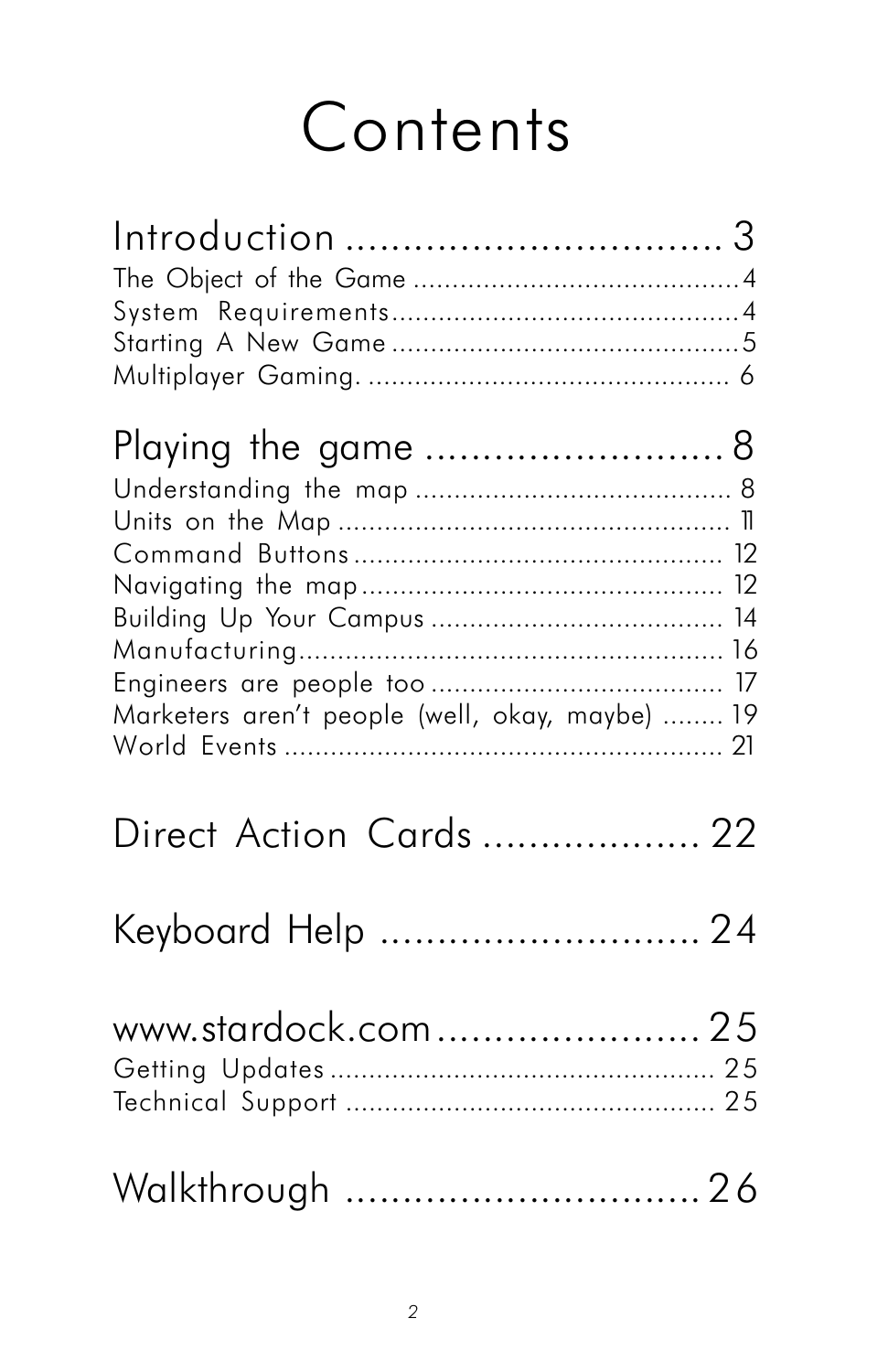# **[Contents](#page-10-0)**

| Introduction  3                                                        |  |
|------------------------------------------------------------------------|--|
|                                                                        |  |
| Playing the game  8<br>Marketers aren't people (well, okay, maybe)  19 |  |
| Direct Action Cards  22                                                |  |
| Keyboard Help  24                                                      |  |
| www.stardock.com  25                                                   |  |
| Walkthrough  26                                                        |  |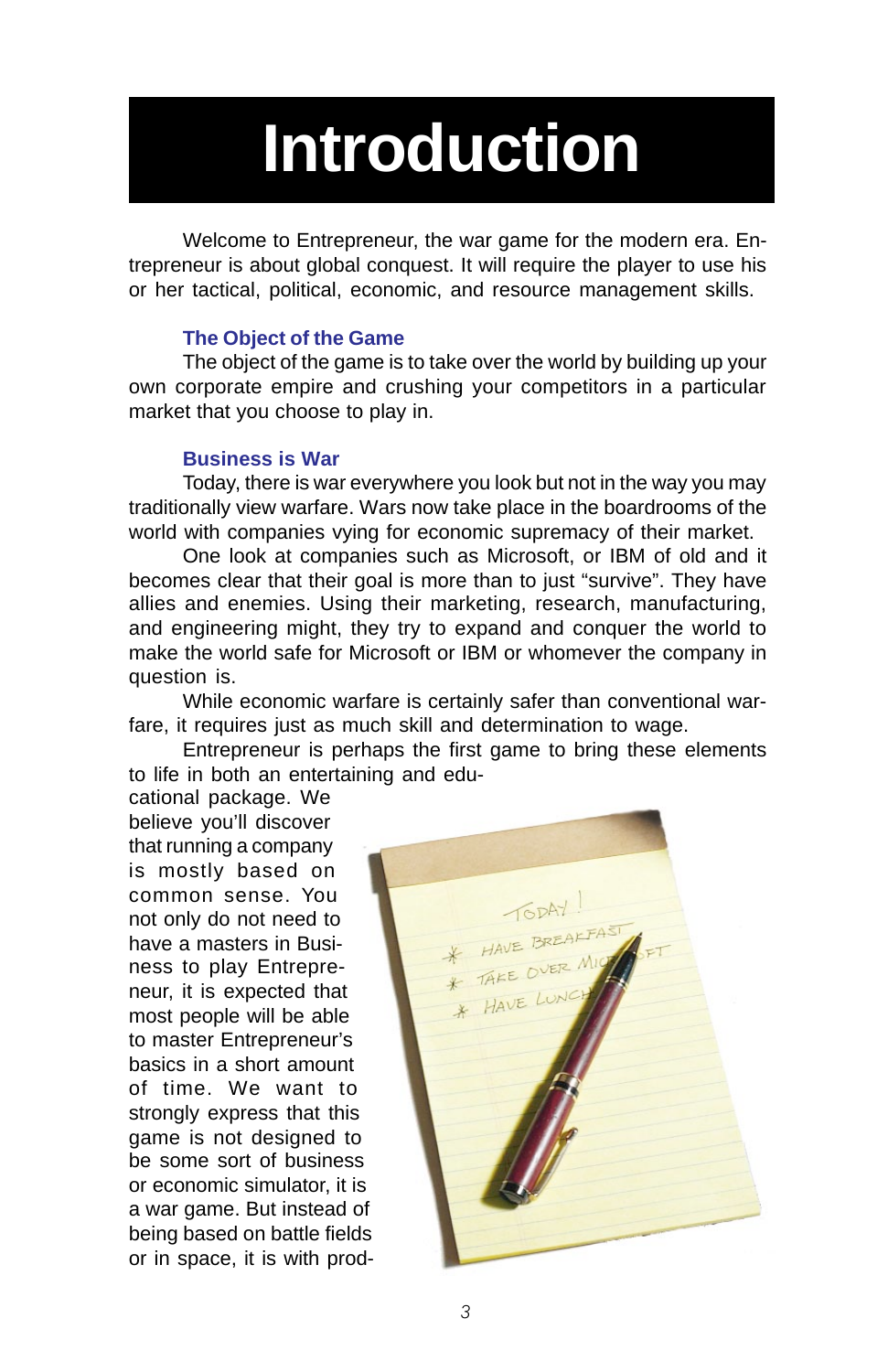# **Introduction**

Welcome to Entrepreneur, the war game for the modern era. Entrepreneur is about global conquest. It will require the player to use his or her tactical, political, economic, and resource management skills.

#### **The Object of the Game**

The object of the game is to take over the world by building up your own corporate empire and crushing your competitors in a particular market that you choose to play in.

#### **Business is War**

Today, there is war everywhere you look but not in the way you may traditionally view warfare. Wars now take place in the boardrooms of the world with companies vying for economic supremacy of their market.

One look at companies such as Microsoft, or IBM of old and it becomes clear that their goal is more than to just "survive". They have allies and enemies. Using their marketing, research, manufacturing, and engineering might, they try to expand and conquer the world to make the world safe for Microsoft or IBM or whomever the company in question is.

While economic warfare is certainly safer than conventional warfare, it requires just as much skill and determination to wage.

Entrepreneur is perhaps the first game to bring these elements to life in both an entertaining and edu-

cational package. We believe you'll discover that running a company is mostly based on common sense. You not only do not need to have a masters in Business to play Entrepreneur, it is expected that most people will be able to master Entrepreneur's basics in a short amount of time. We want to strongly express that this game is not designed to be some sort of business or economic simulator, it is a war game. But instead of being based on battle fields or in space, it is with prod-

TODAY! HAVE LUNC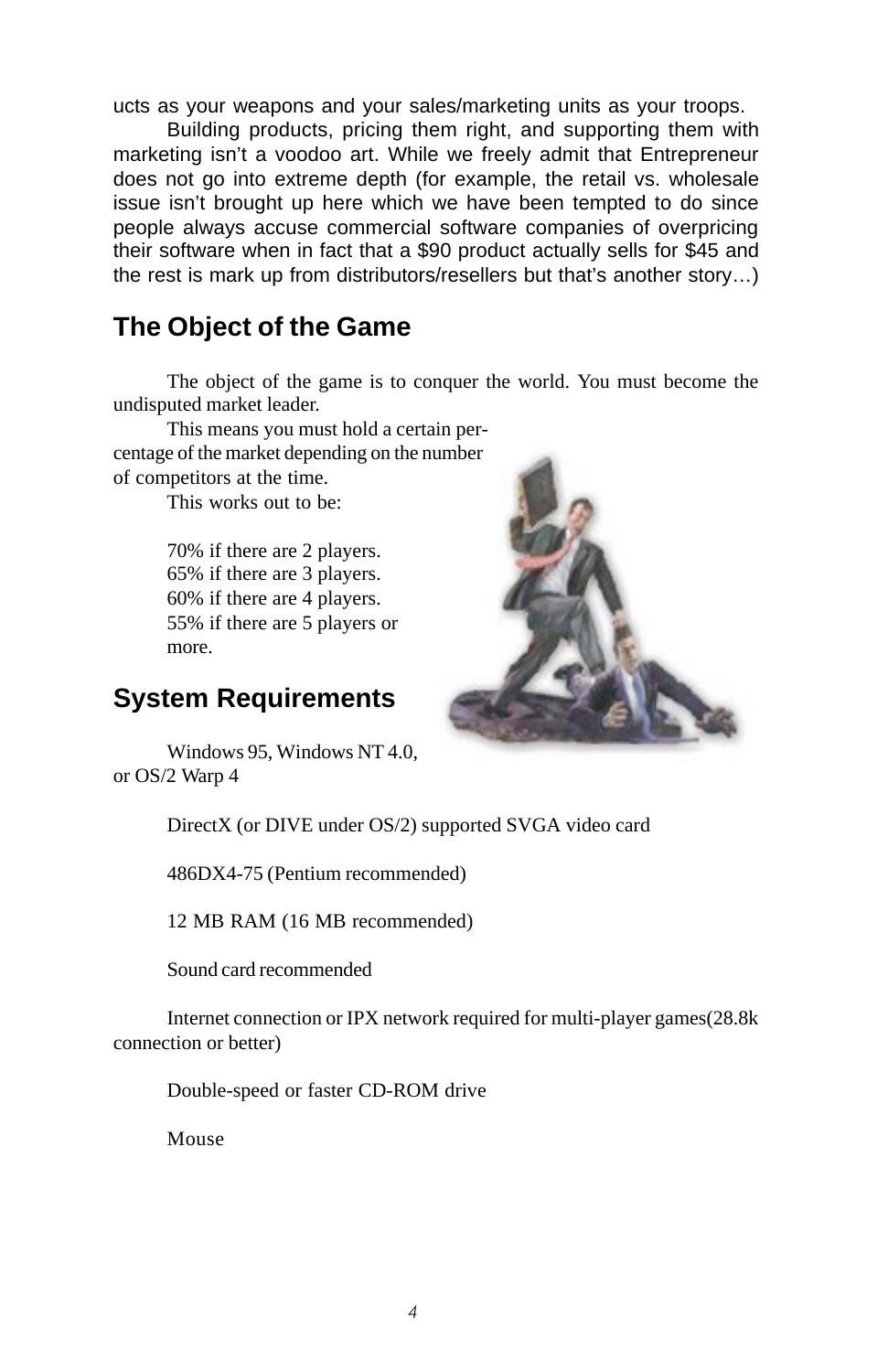ucts as your weapons and your sales/marketing units as your troops.

Building products, pricing them right, and supporting them with marketing isn't a voodoo art. While we freely admit that Entrepreneur does not go into extreme depth (for example, the retail vs. wholesale issue isn't brought up here which we have been tempted to do since people always accuse commercial software companies of overpricing their software when in fact that a \$90 product actually sells for \$45 and the rest is mark up from distributors/resellers but that's another story…)

### **The Object of the Game**

The object of the game is to conquer the world. You must become the undisputed market leader.

This means you must hold a certain percentage of the market depending on the number of competitors at the time.

This works out to be:

70% if there are 2 players. 65% if there are 3 players. 60% if there are 4 players. 55% if there are 5 players or more.

### **System Requirements**

Windows 95, Windows NT 4.0, or OS/2 Warp 4

DirectX (or DIVE under OS/2) supported SVGA video card

486DX4-75 (Pentium recommended)

12 MB RAM (16 MB recommended)

Sound card recommended

Internet connection or IPX network required for multi-player games(28.8k connection or better)

Double-speed or faster CD-ROM drive

Mouse

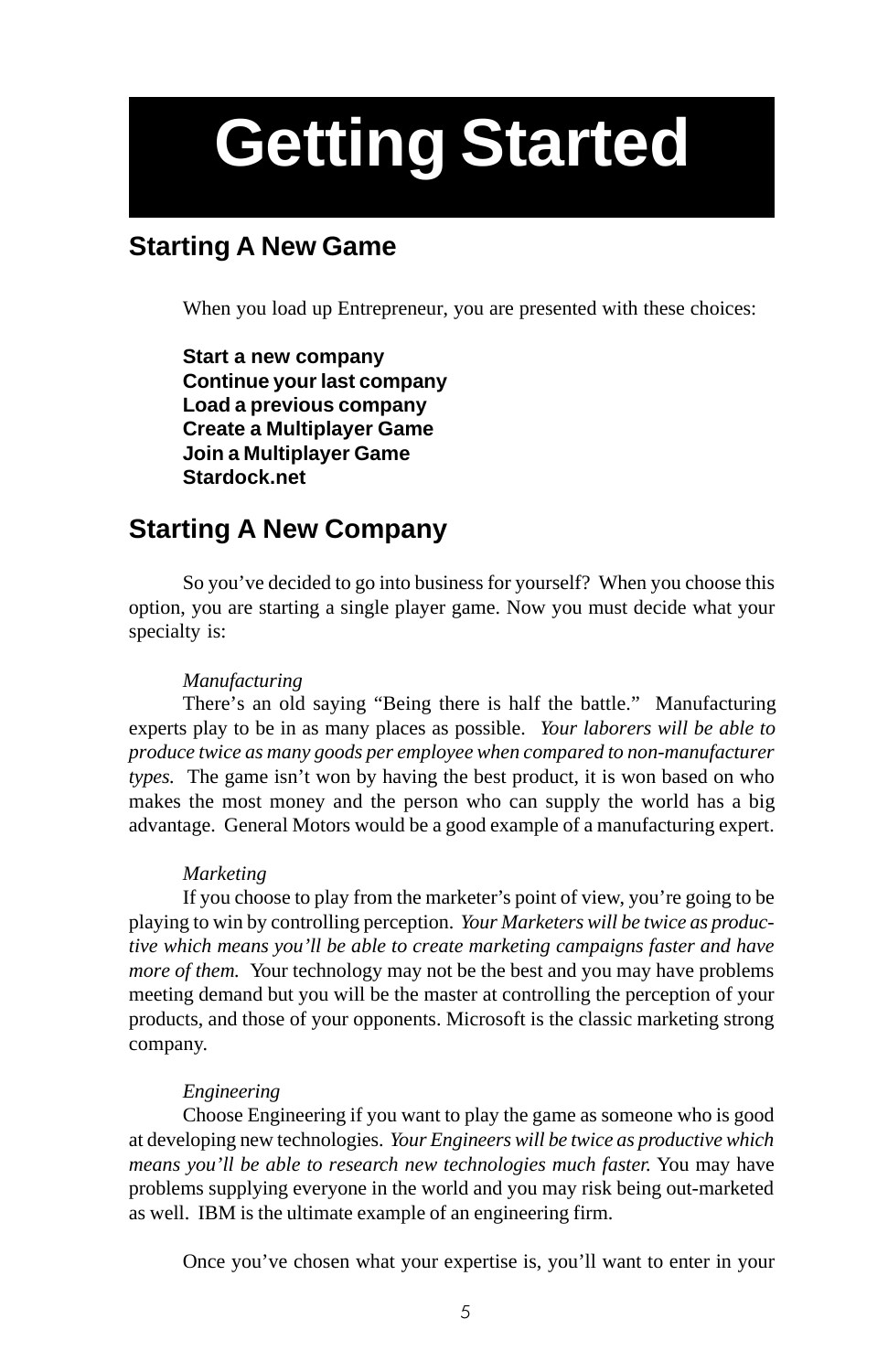# **Getting Started**

## **Starting A New Game**

When you load up Entrepreneur, you are presented with these choices:

**Start a new company Continue your last company Load a previous company Create a Multiplayer Game Join a Multiplayer Game Stardock.net**

## **Starting A New Company**

So you've decided to go into business for yourself? When you choose this option, you are starting a single player game. Now you must decide what your specialty is:

#### *Manufacturing*

There's an old saying "Being there is half the battle." Manufacturing experts play to be in as many places as possible. *Your laborers will be able to produce twice as many goods per employee when compared to non-manufacturer types.* The game isn't won by having the best product, it is won based on who makes the most money and the person who can supply the world has a big advantage. General Motors would be a good example of a manufacturing expert.

#### *Marketing*

If you choose to play from the marketer's point of view, you're going to be playing to win by controlling perception. *Your Marketers will be twice as productive which means you'll be able to create marketing campaigns faster and have more of them.* Your technology may not be the best and you may have problems meeting demand but you will be the master at controlling the perception of your products, and those of your opponents. Microsoft is the classic marketing strong company.

#### *Engineering*

Choose Engineering if you want to play the game as someone who is good at developing new technologies. *Your Engineers will be twice as productive which means you'll be able to research new technologies much faster.* You may have problems supplying everyone in the world and you may risk being out-marketed as well. IBM is the ultimate example of an engineering firm.

Once you've chosen what your expertise is, you'll want to enter in your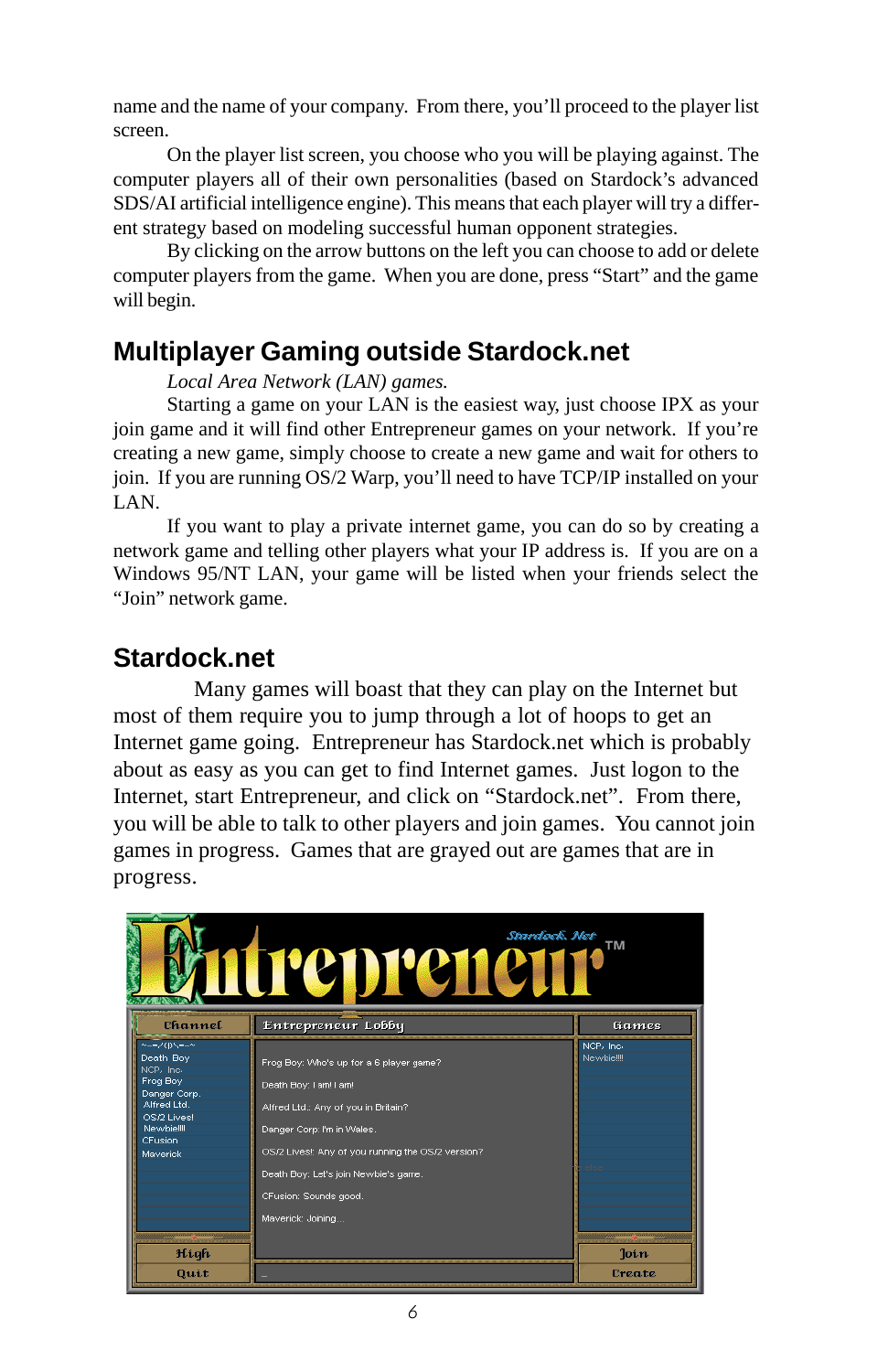name and the name of your company. From there, you'll proceed to the player list screen.

On the player list screen, you choose who you will be playing against. The computer players all of their own personalities (based on Stardock's advanced SDS/AI artificial intelligence engine). This means that each player will try a different strategy based on modeling successful human opponent strategies.

By clicking on the arrow buttons on the left you can choose to add or delete computer players from the game. When you are done, press "Start" and the game will begin.

## **Multiplayer Gaming outside Stardock.net**

*Local Area Network (LAN) games.*

Starting a game on your LAN is the easiest way, just choose IPX as your join game and it will find other Entrepreneur games on your network. If you're creating a new game, simply choose to create a new game and wait for others to join. If you are running OS/2 Warp, you'll need to have TCP/IP installed on your LAN.

If you want to play a private internet game, you can do so by creating a network game and telling other players what your IP address is. If you are on a Windows 95/NT LAN, your game will be listed when your friends select the "Join" network game.

## **Stardock.net**

Many games will boast that they can play on the Internet but most of them require you to jump through a lot of hoops to get an Internet game going. Entrepreneur has Stardock.net which is probably about as easy as you can get to find Internet games. Just logon to the Internet, start Entrepreneur, and click on "Stardock.net". From there, you will be able to talk to other players and join games. You cannot join games in progress. Games that are grayed out are games that are in progress.

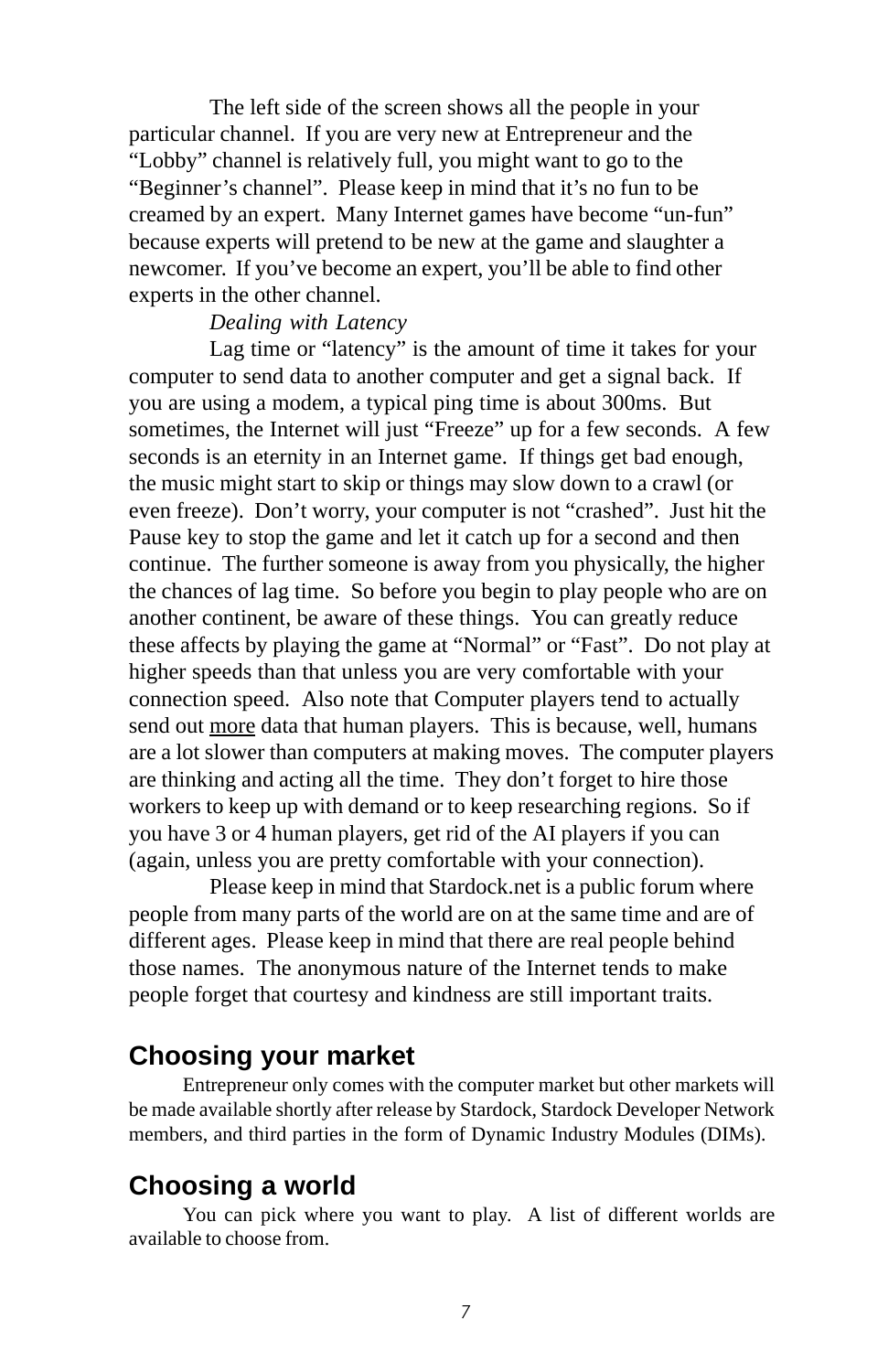The left side of the screen shows all the people in your particular channel. If you are very new at Entrepreneur and the "Lobby" channel is relatively full, you might want to go to the "Beginner's channel". Please keep in mind that it's no fun to be creamed by an expert. Many Internet games have become "un-fun" because experts will pretend to be new at the game and slaughter a newcomer. If you've become an expert, you'll be able to find other experts in the other channel.

#### *Dealing with Latency*

Lag time or "latency" is the amount of time it takes for your computer to send data to another computer and get a signal back. If you are using a modem, a typical ping time is about 300ms. But sometimes, the Internet will just "Freeze" up for a few seconds. A few seconds is an eternity in an Internet game. If things get bad enough, the music might start to skip or things may slow down to a crawl (or even freeze). Don't worry, your computer is not "crashed". Just hit the Pause key to stop the game and let it catch up for a second and then continue. The further someone is away from you physically, the higher the chances of lag time. So before you begin to play people who are on another continent, be aware of these things. You can greatly reduce these affects by playing the game at "Normal" or "Fast". Do not play at higher speeds than that unless you are very comfortable with your connection speed. Also note that Computer players tend to actually send out more data that human players. This is because, well, humans are a lot slower than computers at making moves. The computer players are thinking and acting all the time. They don't forget to hire those workers to keep up with demand or to keep researching regions. So if you have 3 or 4 human players, get rid of the AI players if you can (again, unless you are pretty comfortable with your connection).

Please keep in mind that Stardock.net is a public forum where people from many parts of the world are on at the same time and are of different ages. Please keep in mind that there are real people behind those names. The anonymous nature of the Internet tends to make people forget that courtesy and kindness are still important traits.

#### **Choosing your market**

Entrepreneur only comes with the computer market but other markets will be made available shortly after release by Stardock, Stardock Developer Network members, and third parties in the form of Dynamic Industry Modules (DIMs).

### **Choosing a world**

You can pick where you want to play. A list of different worlds are available to choose from.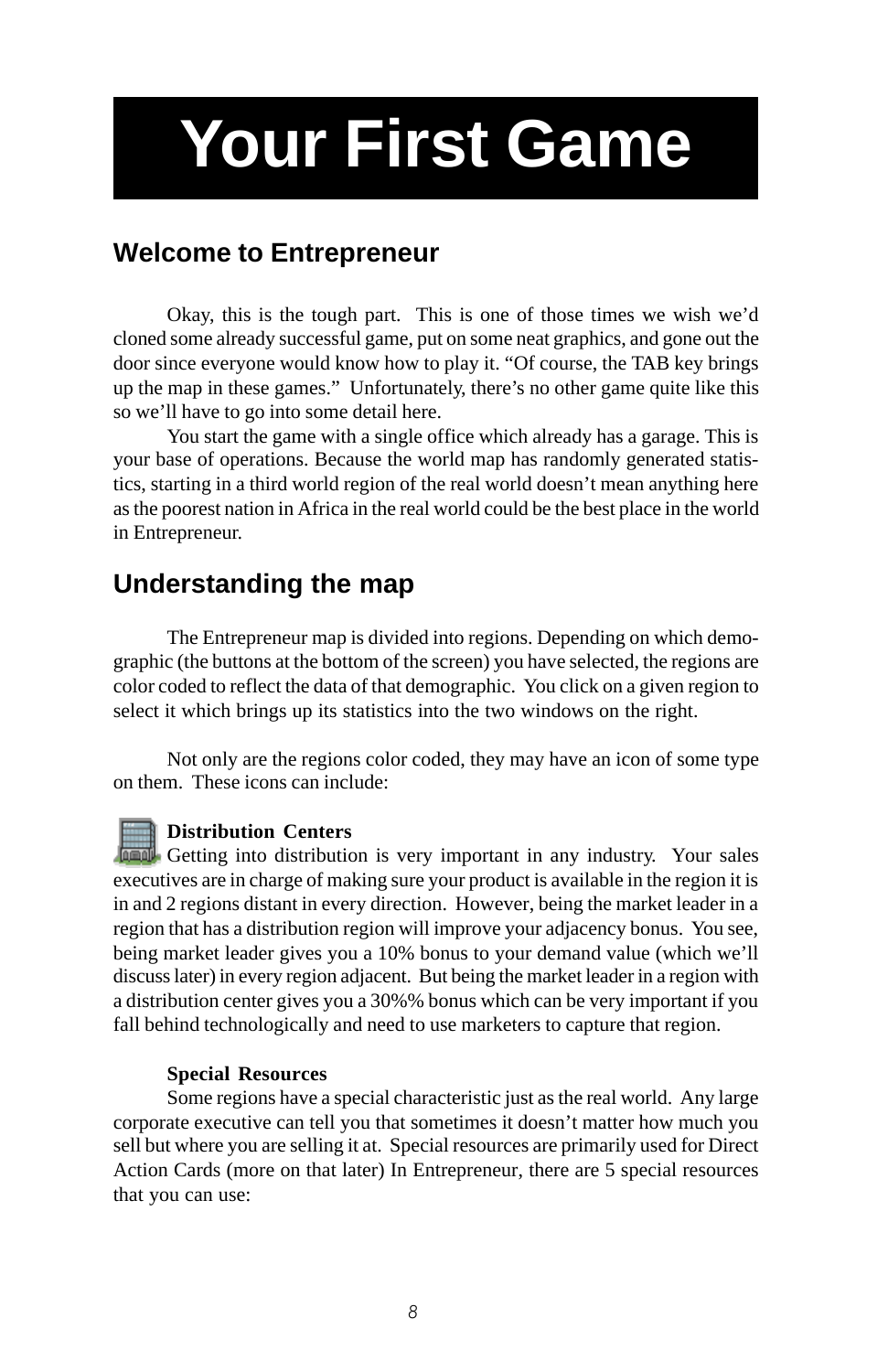# <span id="page-7-0"></span>**Your First Game**

### **Welcome to Entrepreneur**

Okay, this is the tough part. This is one of those times we wish we'd cloned some already successful game, put on some neat graphics, and gone out the door since everyone would know how to play it. "Of course, the TAB key brings up the map in these games." Unfortunately, there's no other game quite like this so we'll have to go into some detail here.

You start the game with a single office which already has a garage. This is your base of operations. Because the world map has randomly generated statistics, starting in a third world region of the real world doesn't mean anything here as the poorest nation in Africa in the real world could be the best place in the world in Entrepreneur.

### **Understanding the map**

The Entrepreneur map is divided into regions. Depending on which demographic (the buttons at the bottom of the screen) you have selected, the regions are color coded to reflect the data of that demographic. You click on a given region to select it which brings up its statistics into the two windows on the right.

Not only are the regions color coded, they may have an icon of some type on them. These icons can include:

**Distribution Centers**

**Getting into distribution is very important in any industry.** Your sales executives are in charge of making sure your product is available in the region it is in and 2 regions distant in every direction. However, being the market leader in a region that has a distribution region will improve your adjacency bonus. You see, being market leader gives you a 10% bonus to your demand value (which we'll discuss later) in every region adjacent. But being the market leader in a region with a distribution center gives you a 30%% bonus which can be very important if you fall behind technologically and need to use marketers to capture that region.

#### **Special Resources**

Some regions have a special characteristic just as the real world. Any large corporate executive can tell you that sometimes it doesn't matter how much you sell but where you are selling it at. Special resources are primarily used for Direct Action Cards (more on that later) In Entrepreneur, there are 5 special resources that you can use: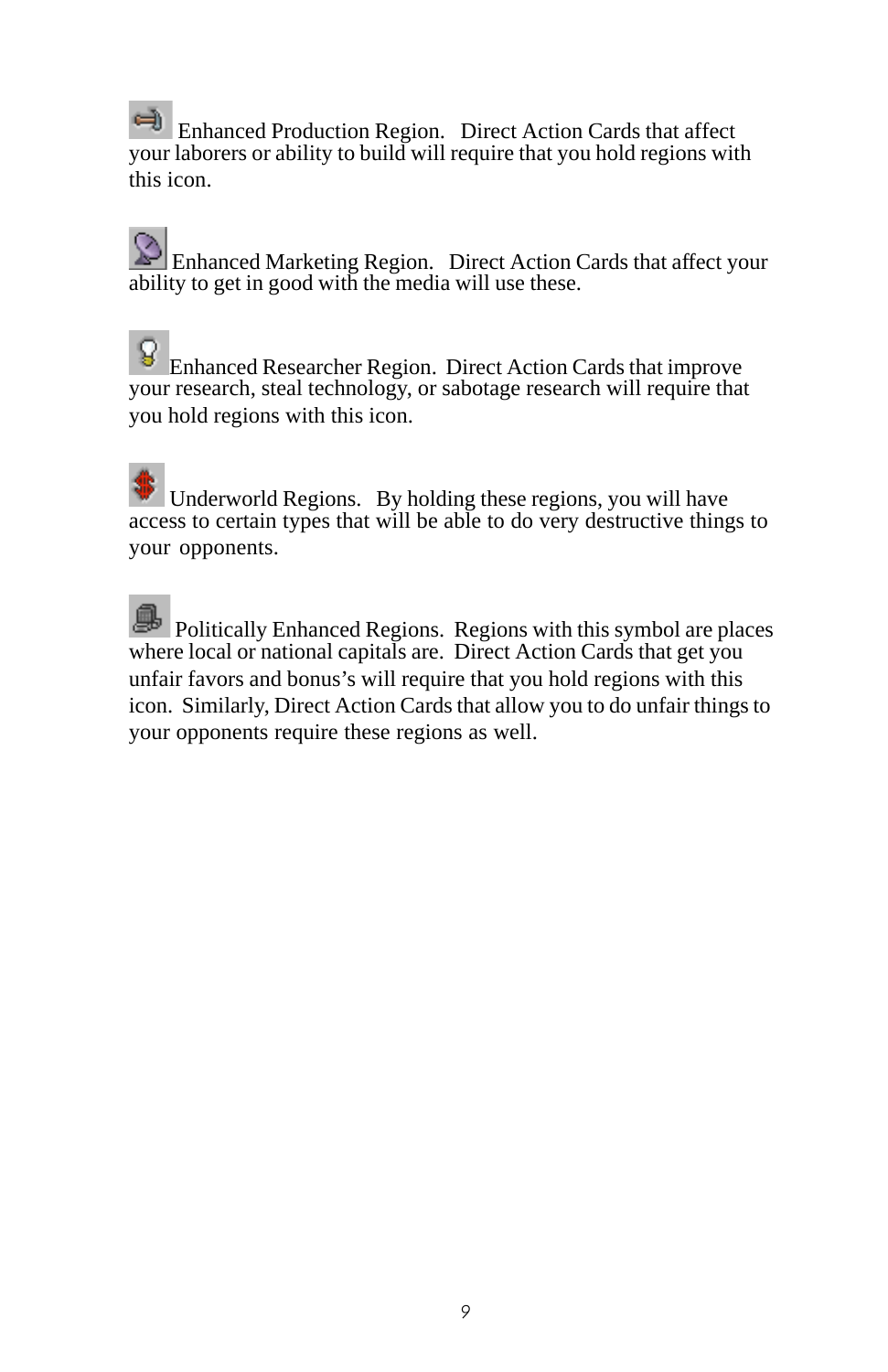Enhanced Production Region. Direct Action Cards that affect your laborers or ability to build will require that you hold regions with this icon.

Enhanced Marketing Region. Direct Action Cards that affect your ability to get in good with the media will use these.

Enhanced Researcher Region. Direct Action Cards that improve your research, steal technology, or sabotage research will require that you hold regions with this icon.

 Underworld Regions. By holding these regions, you will have access to certain types that will be able to do very destructive things to your opponents.

 Politically Enhanced Regions. Regions with this symbol are places where local or national capitals are. Direct Action Cards that get you unfair favors and bonus's will require that you hold regions with this icon. Similarly, Direct Action Cards that allow you to do unfair things to your opponents require these regions as well.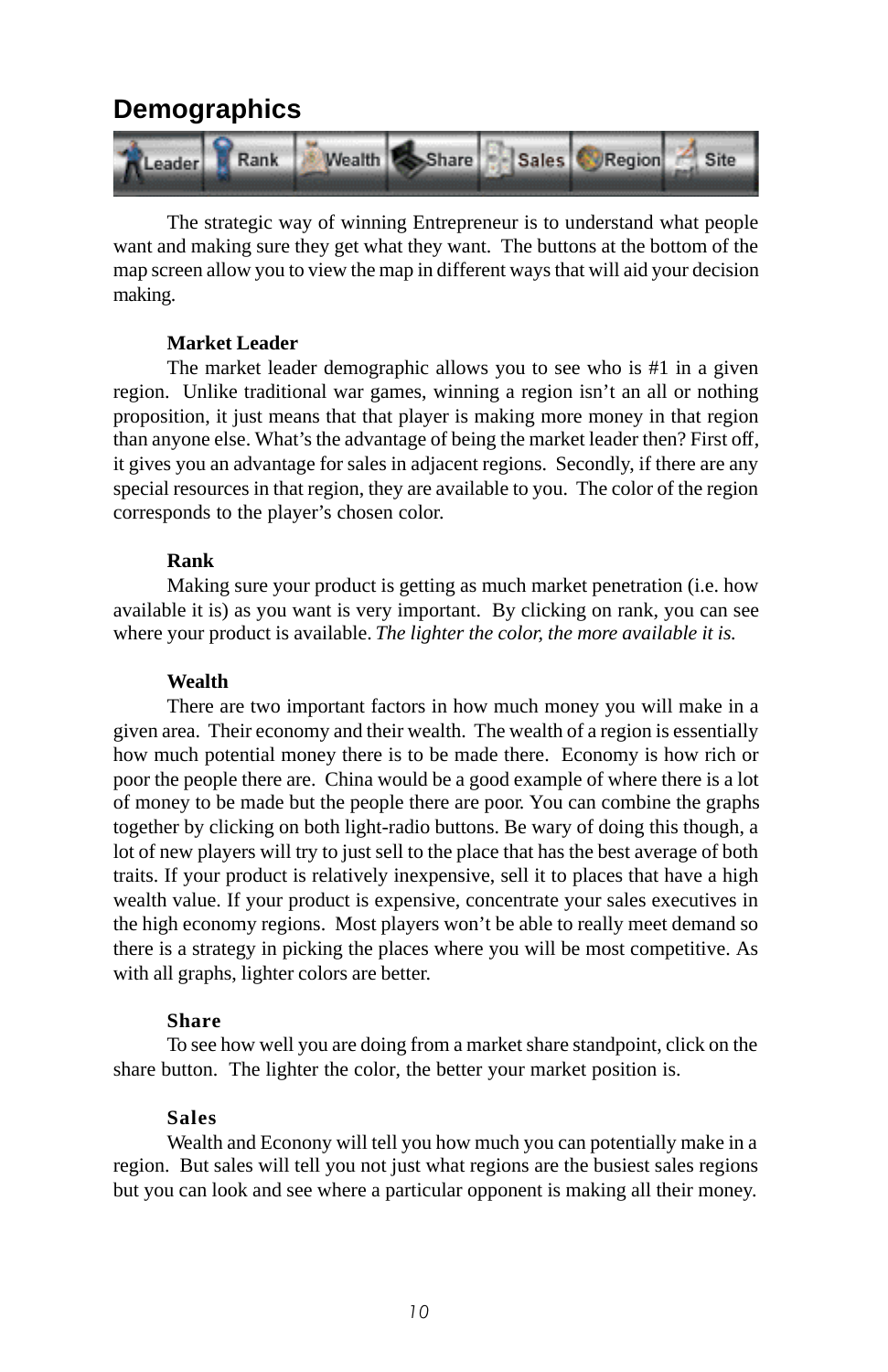### **Demographics**



The strategic way of winning Entrepreneur is to understand what people want and making sure they get what they want. The buttons at the bottom of the map screen allow you to view the map in different ways that will aid your decision making.

#### **Market Leader**

The market leader demographic allows you to see who is #1 in a given region. Unlike traditional war games, winning a region isn't an all or nothing proposition, it just means that that player is making more money in that region than anyone else. What's the advantage of being the market leader then? First off, it gives you an advantage for sales in adjacent regions. Secondly, if there are any special resources in that region, they are available to you. The color of the region corresponds to the player's chosen color.

#### **Rank**

Making sure your product is getting as much market penetration (i.e. how available it is) as you want is very important. By clicking on rank, you can see where your product is available. *The lighter the color, the more available it is.*

#### **Wealth**

There are two important factors in how much money you will make in a given area. Their economy and their wealth. The wealth of a region is essentially how much potential money there is to be made there. Economy is how rich or poor the people there are. China would be a good example of where there is a lot of money to be made but the people there are poor. You can combine the graphs together by clicking on both light-radio buttons. Be wary of doing this though, a lot of new players will try to just sell to the place that has the best average of both traits. If your product is relatively inexpensive, sell it to places that have a high wealth value. If your product is expensive, concentrate your sales executives in the high economy regions. Most players won't be able to really meet demand so there is a strategy in picking the places where you will be most competitive. As with all graphs, lighter colors are better.

#### **Share**

To see how well you are doing from a market share standpoint, click on the share button. The lighter the color, the better your market position is.

#### **Sales**

Wealth and Econony will tell you how much you can potentially make in a region. But sales will tell you not just what regions are the busiest sales regions but you can look and see where a particular opponent is making all their money.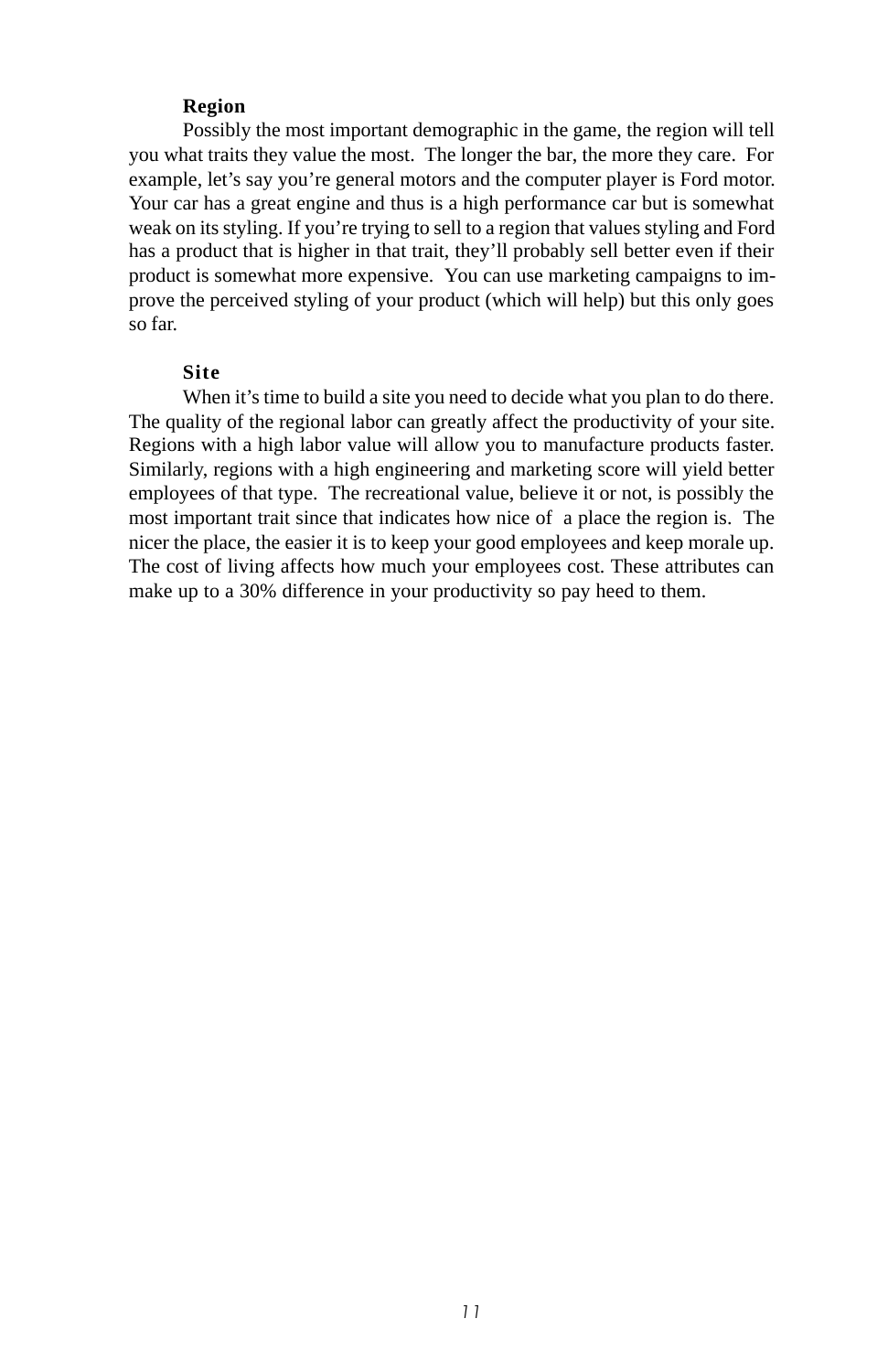#### **Region**

<span id="page-10-0"></span>Possibly the most important demographic in the game, the region will tell you what traits they value the most. The longer the bar, the more they care. For example, let's say you're general motors and the computer player is Ford motor. Your car has a great engine and thus is a high performance car but is somewhat weak on its styling. If you're trying to sell to a region that values styling and Ford has a product that is higher in that trait, they'll probably sell better even if their product is somewhat more expensive. You can use marketing campaigns to improve the perceived styling of your product (which will help) but this only goes so far.

#### **Site**

When it's time to build a site you need to decide what you plan to do there. The quality of the regional labor can greatly affect the productivity of your site. Regions with a high labor value will allow you to manufacture products faster. Similarly, regions with a high engineering and marketing score will yield better employees of that type. The recreational value, believe it or not, is possibly the most important trait since that indicates how nice of a place the region is. The nicer the place, the easier it is to keep your good employees and keep morale up. The cost of living affects how much your employees cost. These attributes can make up to a 30% difference in your productivity so pay heed to them.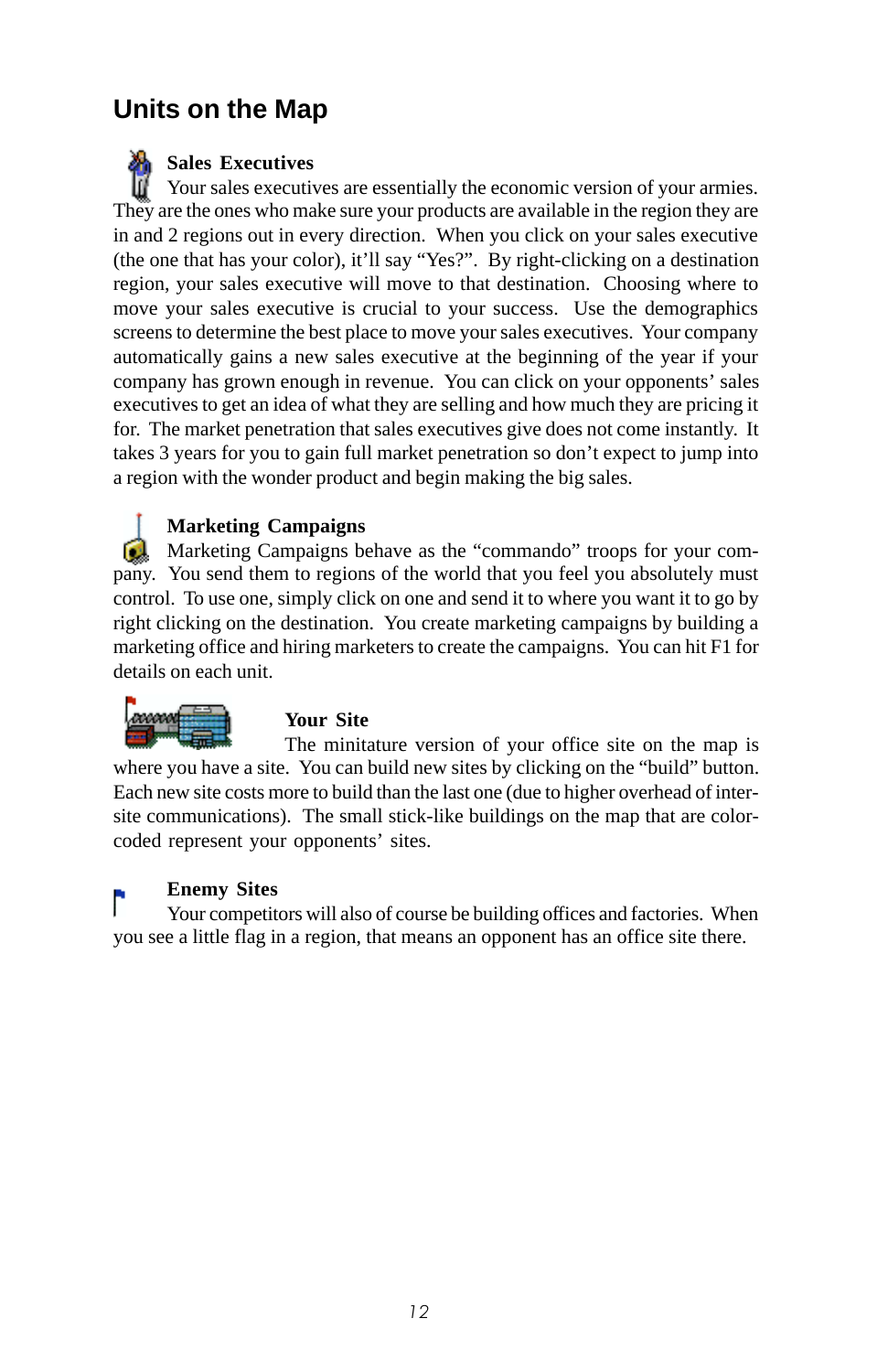# <span id="page-11-0"></span>**Units on the Map**

**Sales Executives** Your sales executives are essentially the economic version of your armies. They are the ones who make sure your products are available in the region they are in and 2 regions out in every direction. When you click on your sales executive (the one that has your color), it'll say "Yes?". By right-clicking on a destination region, your sales executive will move to that destination. Choosing where to move your sales executive is crucial to your success. Use the demographics screens to determine the best place to move your sales executives. Your company automatically gains a new sales executive at the beginning of the year if your company has grown enough in revenue. You can click on your opponents' sales executives to get an idea of what they are selling and how much they are pricing it for. The market penetration that sales executives give does not come instantly. It takes 3 years for you to gain full market penetration so don't expect to jump into a region with the wonder product and begin making the big sales.

#### **Marketing Campaigns**

**Marketing Campaigns behave as the "commando" troops for your com**pany. You send them to regions of the world that you feel you absolutely must control. To use one, simply click on one and send it to where you want it to go by right clicking on the destination. You create marketing campaigns by building a marketing office and hiring marketers to create the campaigns. You can hit F1 for details on each unit.



#### **Your Site**

The minitature version of your office site on the map is where you have a site. You can build new sites by clicking on the "build" button. Each new site costs more to build than the last one (due to higher overhead of intersite communications). The small stick-like buildings on the map that are colorcoded represent your opponents' sites.

#### **Enemy Sites**

Your competitors will also of course be building offices and factories. When you see a little flag in a region, that means an opponent has an office site there.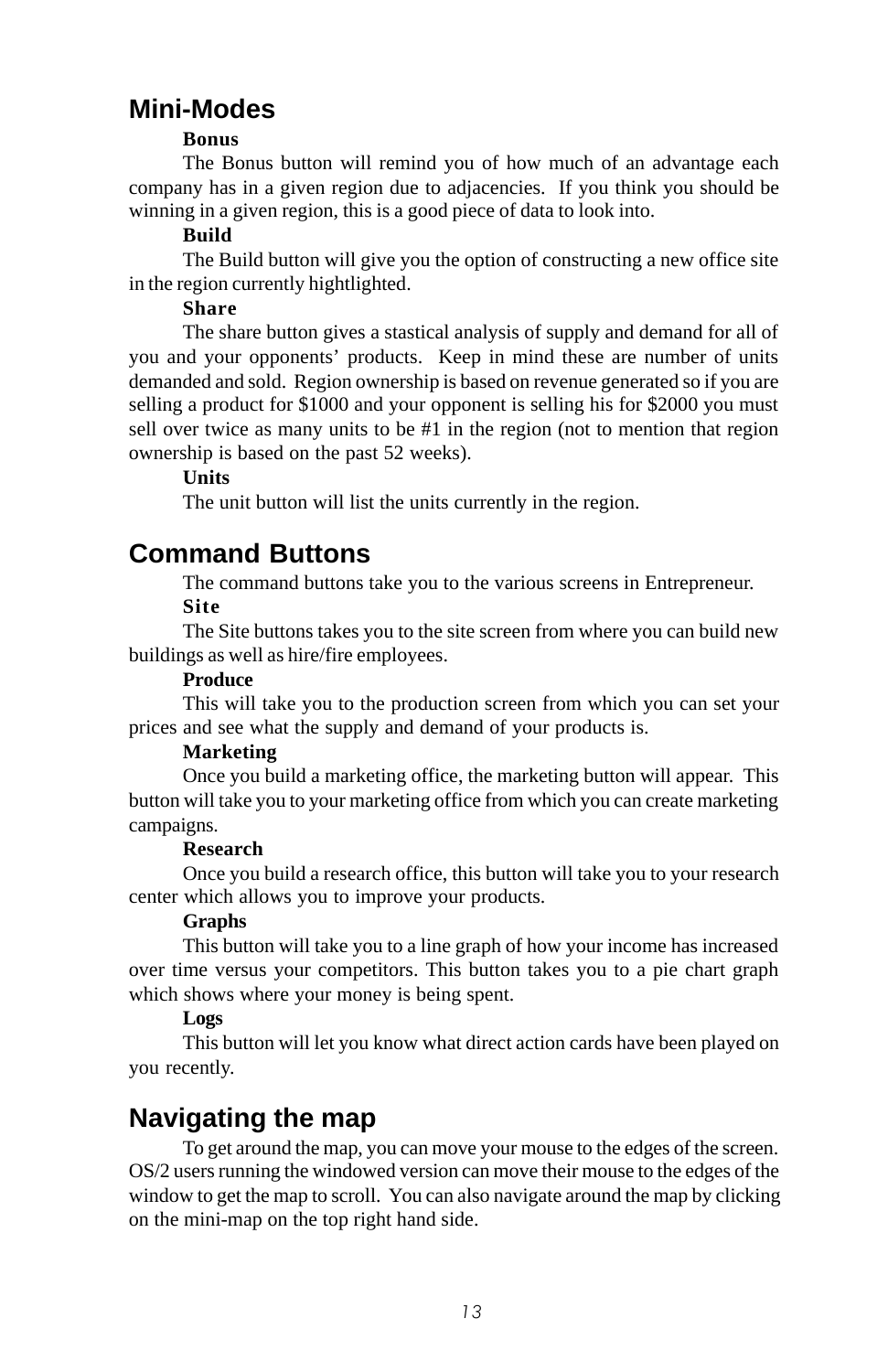### **Mini-Modes**

#### **Bonus**

The Bonus button will remind you of how much of an advantage each company has in a given region due to adjacencies. If you think you should be winning in a given region, this is a good piece of data to look into.

#### **Build**

The Build button will give you the option of constructing a new office site in the region currently hightlighted.

#### **Share**

The share button gives a stastical analysis of supply and demand for all of you and your opponents' products. Keep in mind these are number of units demanded and sold. Region ownership is based on revenue generated so if you are selling a product for \$1000 and your opponent is selling his for \$2000 you must sell over twice as many units to be #1 in the region (not to mention that region ownership is based on the past 52 weeks).

#### **Units**

The unit button will list the units currently in the region.

### **Command Buttons**

The command buttons take you to the various screens in Entrepreneur. **Site**

The Site buttons takes you to the site screen from where you can build new buildings as well as hire/fire employees.

#### **Produce**

This will take you to the production screen from which you can set your prices and see what the supply and demand of your products is.

#### **Marketing**

Once you build a marketing office, the marketing button will appear. This button will take you to your marketing office from which you can create marketing campaigns.

#### **Research**

Once you build a research office, this button will take you to your research center which allows you to improve your products.

#### **Graphs**

This button will take you to a line graph of how your income has increased over time versus your competitors. This button takes you to a pie chart graph which shows where your money is being spent.

#### **Logs**

This button will let you know what direct action cards have been played on you recently.

## **Navigating the map**

To get around the map, you can move your mouse to the edges of the screen. OS/2 users running the windowed version can move their mouse to the edges of the window to get the map to scroll. You can also navigate around the map by clicking on the mini-map on the top right hand side.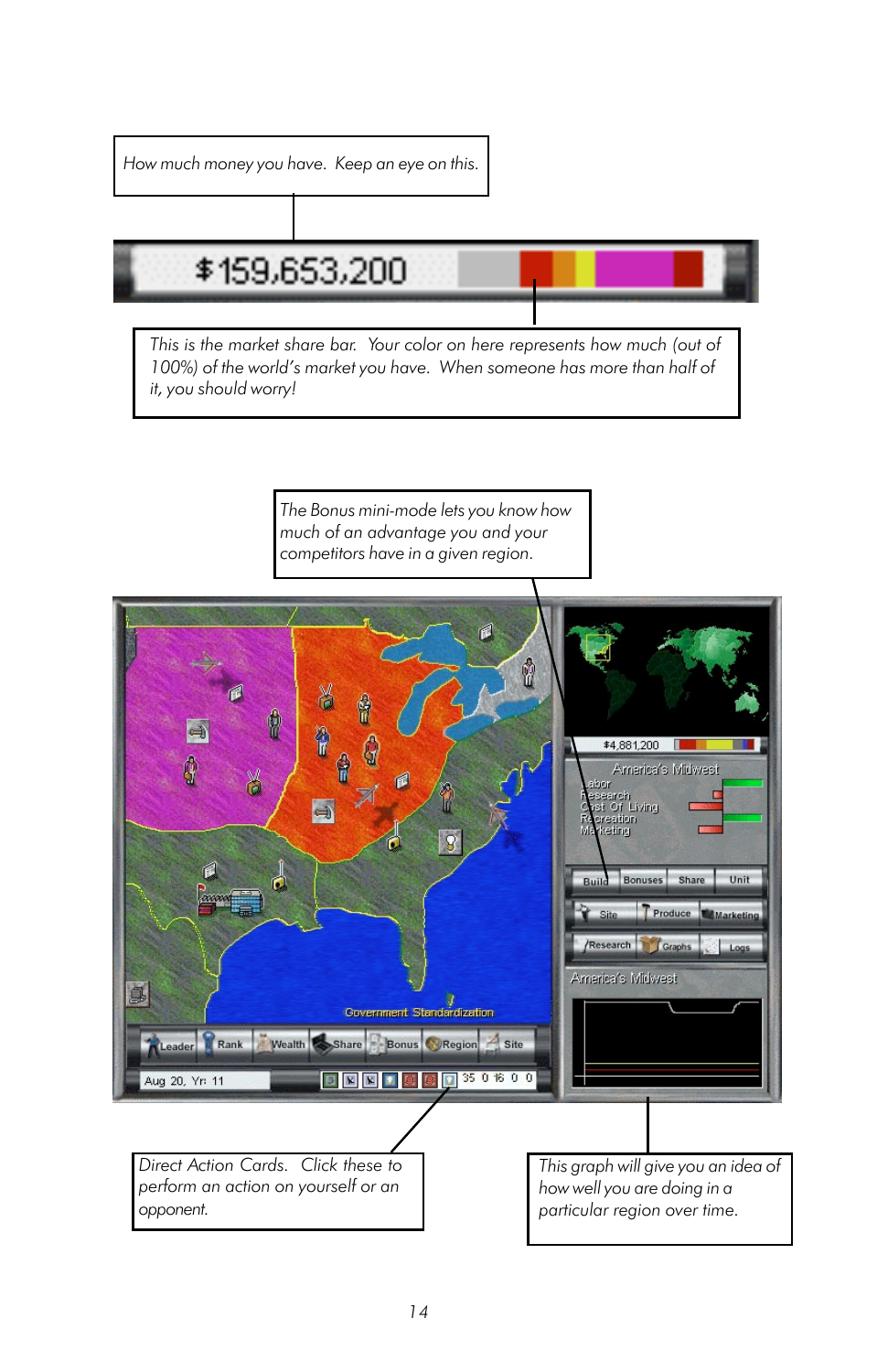<span id="page-13-0"></span>How much money you have. Keep an eye on this.

# \$159,653,200

This is the market share bar. Your color on here represents how much (out of 100%) of the world's market you have. When someone has more than half of it, you should worry!

> The Bonus mini-mode lets you know how much of an advantage you and your competitors have in a given region.

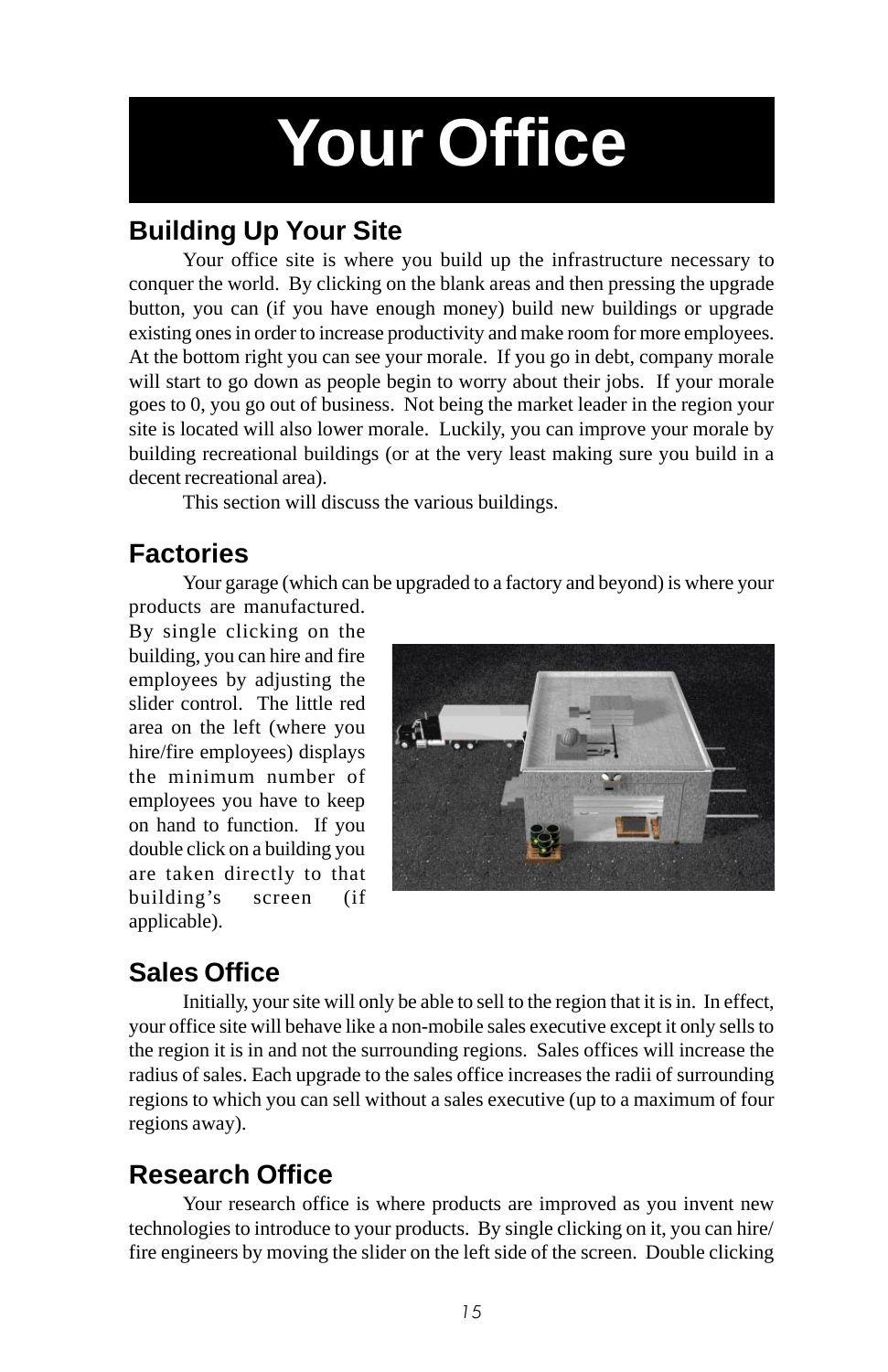# **Your Office**

# **Building Up Your Site**

Your office site is where you build up the infrastructure necessary to conquer the world. By clicking on the blank areas and then pressing the upgrade button, you can (if you have enough money) build new buildings or upgrade existing ones in order to increase productivity and make room for more employees. At the bottom right you can see your morale. If you go in debt, company morale will start to go down as people begin to worry about their jobs. If your morale goes to 0, you go out of business. Not being the market leader in the region your site is located will also lower morale. Luckily, you can improve your morale by building recreational buildings (or at the very least making sure you build in a decent recreational area).

This section will discuss the various buildings.

### **Factories**

Your garage (which can be upgraded to a factory and beyond) is where your

products are manufactured. By single clicking on the building, you can hire and fire employees by adjusting the slider control. The little red area on the left (where you hire/fire employees) displays the minimum number of employees you have to keep on hand to function. If you double click on a building you are taken directly to that building's screen (if applicable).



# **Sales Office**

Initially, your site will only be able to sell to the region that it is in. In effect, your office site will behave like a non-mobile sales executive except it only sells to the region it is in and not the surrounding regions. Sales offices will increase the radius of sales. Each upgrade to the sales office increases the radii of surrounding regions to which you can sell without a sales executive (up to a maximum of four regions away).

## **Research Office**

Your research office is where products are improved as you invent new technologies to introduce to your products. By single clicking on it, you can hire/ fire engineers by moving the slider on the left side of the screen. Double clicking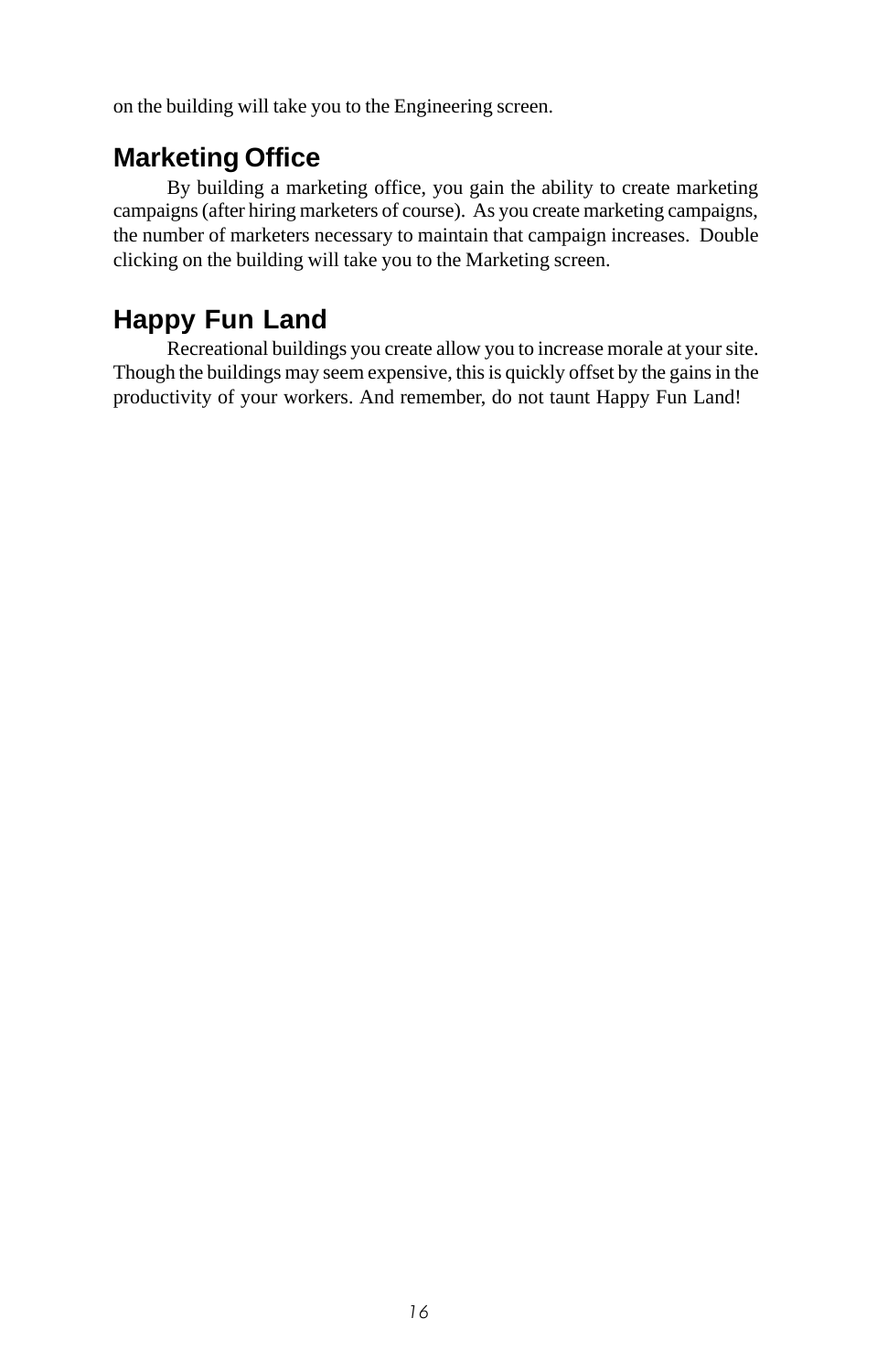<span id="page-15-0"></span>on the building will take you to the Engineering screen.

### **Marketing Office**

By building a marketing office, you gain the ability to create marketing campaigns (after hiring marketers of course). As you create marketing campaigns, the number of marketers necessary to maintain that campaign increases. Double clicking on the building will take you to the Marketing screen.

## **Happy Fun Land**

Recreational buildings you create allow you to increase morale at your site. Though the buildings may seem expensive, this is quickly offset by the gains in the productivity of your workers. And remember, do not taunt Happy Fun Land!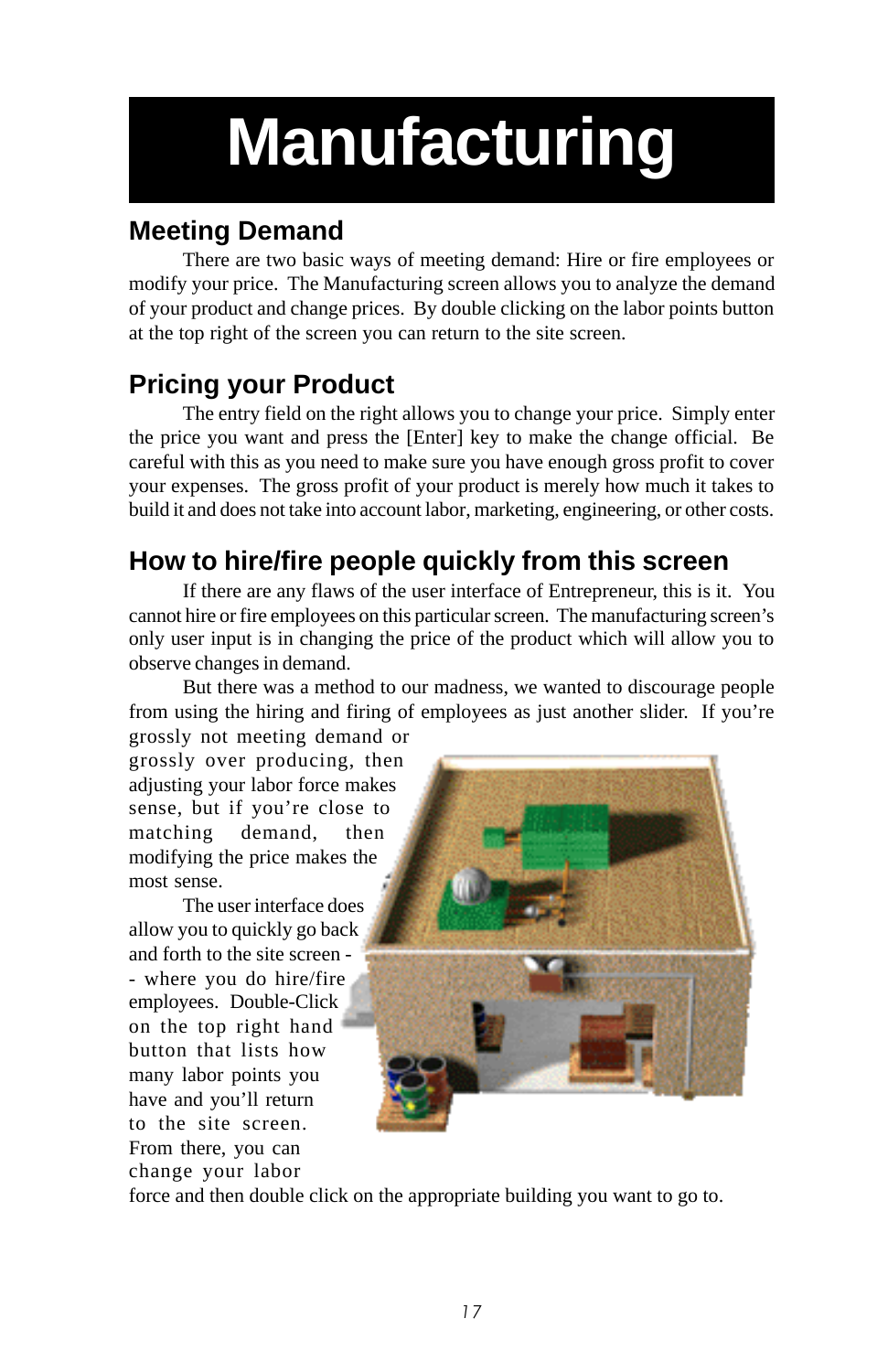# <span id="page-16-0"></span>**Manufacturing**

# **Meeting Demand**

There are two basic ways of meeting demand: Hire or fire employees or modify your price. The Manufacturing screen allows you to analyze the demand of your product and change prices. By double clicking on the labor points button at the top right of the screen you can return to the site screen.

# **Pricing your Product**

The entry field on the right allows you to change your price. Simply enter the price you want and press the [Enter] key to make the change official. Be careful with this as you need to make sure you have enough gross profit to cover your expenses. The gross profit of your product is merely how much it takes to build it and does not take into account labor, marketing, engineering, or other costs.

# **How to hire/fire people quickly from this screen**

If there are any flaws of the user interface of Entrepreneur, this is it. You cannot hire or fire employees on this particular screen. The manufacturing screen's only user input is in changing the price of the product which will allow you to observe changes in demand.

But there was a method to our madness, we wanted to discourage people from using the hiring and firing of employees as just another slider. If you're

grossly not meeting demand or grossly over producing, then adjusting your labor force makes sense, but if you're close to matching demand, then modifying the price makes the most sense.

The user interface does allow you to quickly go back and forth to the site screen - - where you do hire/fire employees. Double-Click on the top right hand button that lists how many labor points you have and you'll return to the site screen. From there, you can change your labor



force and then double click on the appropriate building you want to go to.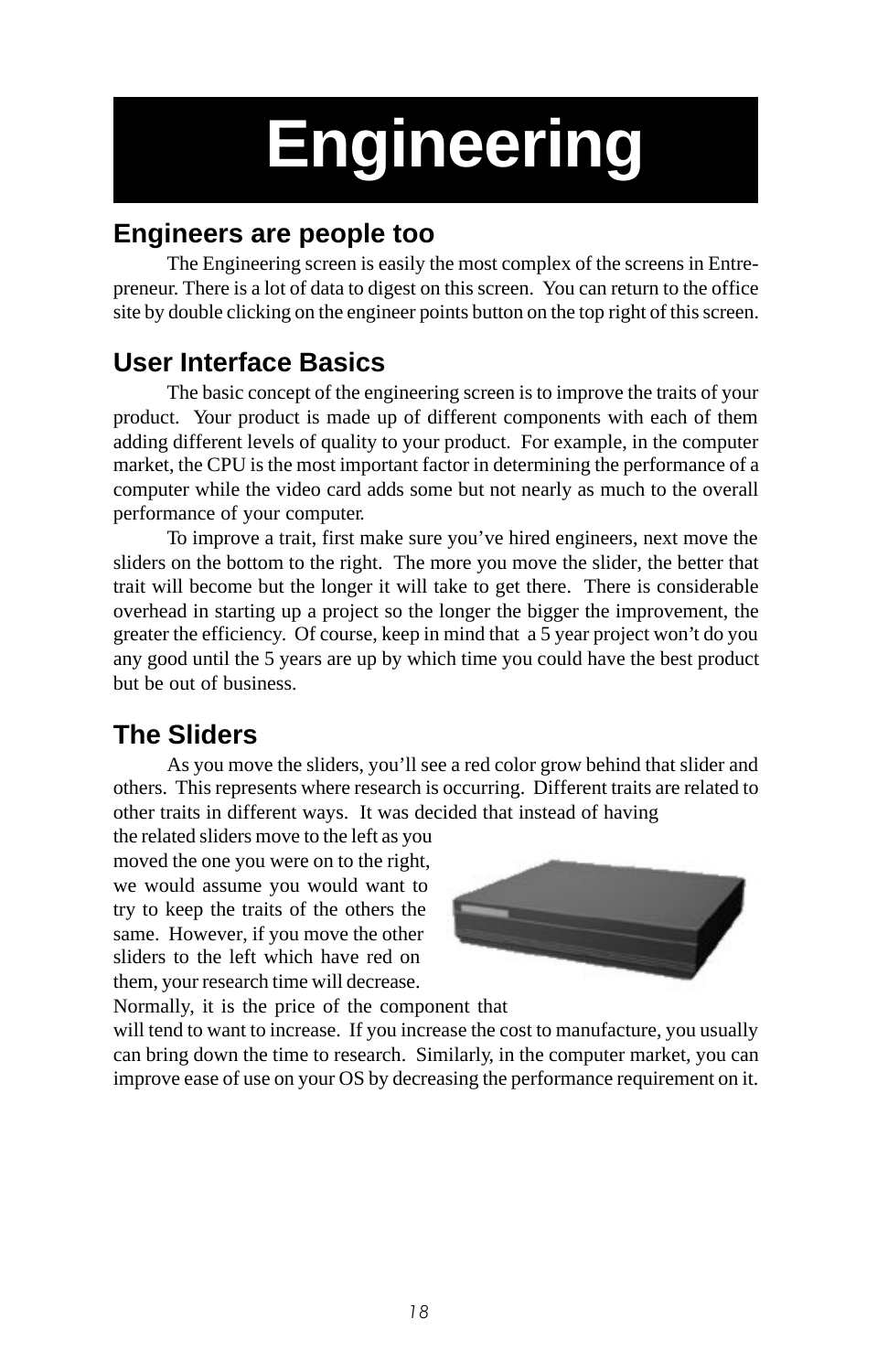# **Engineering**

## **Engineers are people too**

The Engineering screen is easily the most complex of the screens in Entrepreneur. There is a lot of data to digest on this screen. You can return to the office site by double clicking on the engineer points button on the top right of this screen.

# **User Interface Basics**

The basic concept of the engineering screen is to improve the traits of your product. Your product is made up of different components with each of them adding different levels of quality to your product. For example, in the computer market, the CPU is the most important factor in determining the performance of a computer while the video card adds some but not nearly as much to the overall performance of your computer.

To improve a trait, first make sure you've hired engineers, next move the sliders on the bottom to the right. The more you move the slider, the better that trait will become but the longer it will take to get there. There is considerable overhead in starting up a project so the longer the bigger the improvement, the greater the efficiency. Of course, keep in mind that a 5 year project won't do you any good until the 5 years are up by which time you could have the best product but be out of business.

# **The Sliders**

As you move the sliders, you'll see a red color grow behind that slider and others. This represents where research is occurring. Different traits are related to other traits in different ways. It was decided that instead of having

the related sliders move to the left as you moved the one you were on to the right, we would assume you would want to try to keep the traits of the others the same. However, if you move the other sliders to the left which have red on them, your research time will decrease.



Normally, it is the price of the component that

will tend to want to increase. If you increase the cost to manufacture, you usually can bring down the time to research. Similarly, in the computer market, you can improve ease of use on your OS by decreasing the performance requirement on it.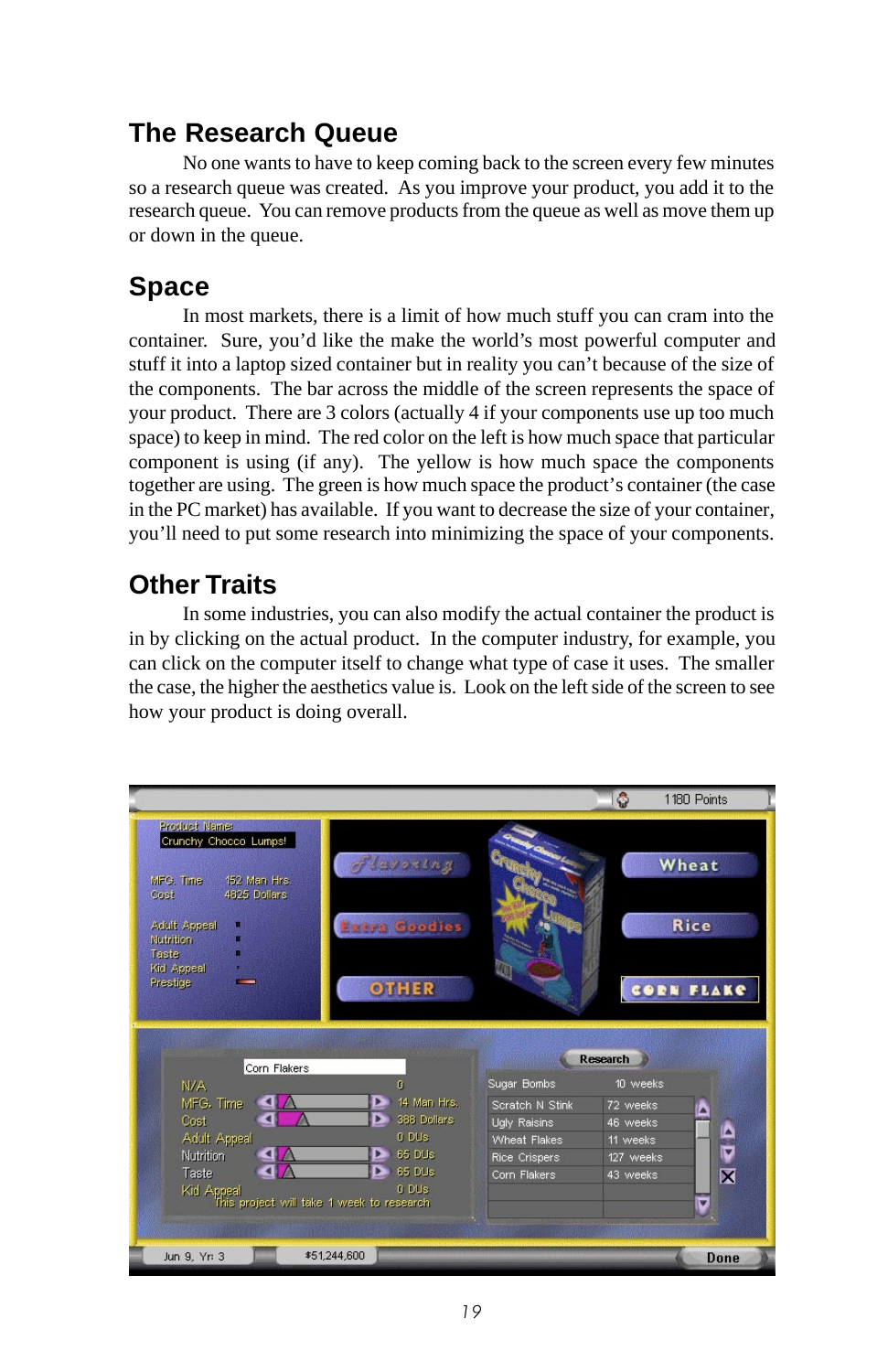## <span id="page-18-0"></span>**The Research Queue**

No one wants to have to keep coming back to the screen every few minutes so a research queue was created. As you improve your product, you add it to the research queue. You can remove products from the queue as well as move them up or down in the queue.

## **Space**

In most markets, there is a limit of how much stuff you can cram into the container. Sure, you'd like the make the world's most powerful computer and stuff it into a laptop sized container but in reality you can't because of the size of the components. The bar across the middle of the screen represents the space of your product. There are 3 colors (actually 4 if your components use up too much space) to keep in mind. The red color on the left is how much space that particular component is using (if any). The yellow is how much space the components together are using. The green is how much space the product's container (the case in the PC market) has available. If you want to decrease the size of your container, you'll need to put some research into minimizing the space of your components.

## **Other Traits**

In some industries, you can also modify the actual container the product is in by clicking on the actual product. In the computer industry, for example, you can click on the computer itself to change what type of case it uses. The smaller the case, the higher the aesthetics value is. Look on the left side of the screen to see how your product is doing overall.

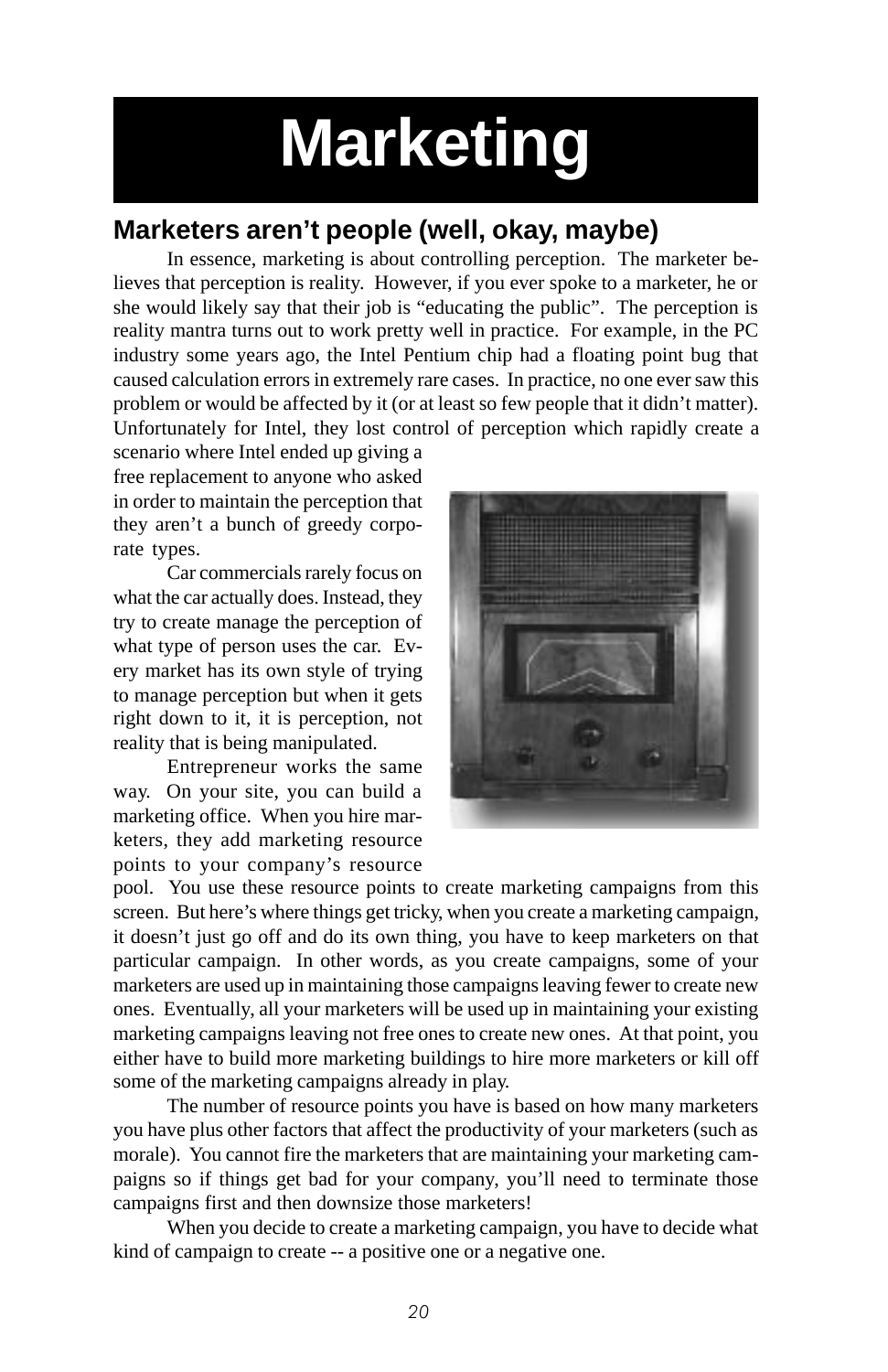# **Marketing**

## **Marketers aren't people (well, okay, maybe)**

In essence, marketing is about controlling perception. The marketer believes that perception is reality. However, if you ever spoke to a marketer, he or she would likely say that their job is "educating the public". The perception is reality mantra turns out to work pretty well in practice. For example, in the PC industry some years ago, the Intel Pentium chip had a floating point bug that caused calculation errors in extremely rare cases. In practice, no one ever saw this problem or would be affected by it (or at least so few people that it didn't matter). Unfortunately for Intel, they lost control of perception which rapidly create a

scenario where Intel ended up giving a free replacement to anyone who asked in order to maintain the perception that they aren't a bunch of greedy corporate types.

Car commercials rarely focus on what the car actually does. Instead, they try to create manage the perception of what type of person uses the car. Every market has its own style of trying to manage perception but when it gets right down to it, it is perception, not reality that is being manipulated.

Entrepreneur works the same way. On your site, you can build a marketing office. When you hire marketers, they add marketing resource points to your company's resource



pool. You use these resource points to create marketing campaigns from this screen. But here's where things get tricky, when you create a marketing campaign, it doesn't just go off and do its own thing, you have to keep marketers on that particular campaign. In other words, as you create campaigns, some of your marketers are used up in maintaining those campaigns leaving fewer to create new ones. Eventually, all your marketers will be used up in maintaining your existing marketing campaigns leaving not free ones to create new ones. At that point, you either have to build more marketing buildings to hire more marketers or kill off some of the marketing campaigns already in play.

The number of resource points you have is based on how many marketers you have plus other factors that affect the productivity of your marketers (such as morale). You cannot fire the marketers that are maintaining your marketing campaigns so if things get bad for your company, you'll need to terminate those campaigns first and then downsize those marketers!

When you decide to create a marketing campaign, you have to decide what kind of campaign to create -- a positive one or a negative one.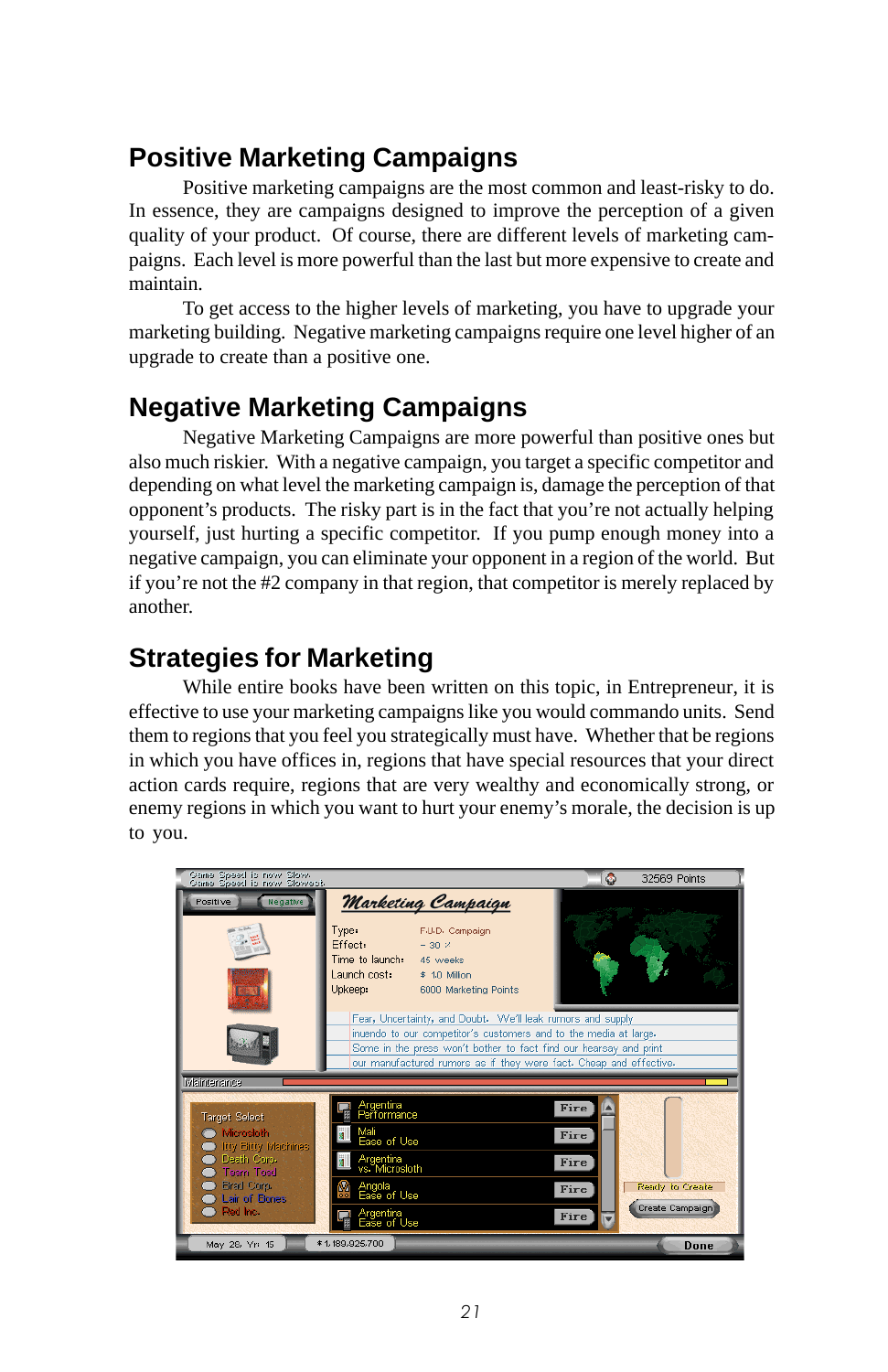## <span id="page-20-0"></span>**Positive Marketing Campaigns**

Positive marketing campaigns are the most common and least-risky to do. In essence, they are campaigns designed to improve the perception of a given quality of your product. Of course, there are different levels of marketing campaigns. Each level is more powerful than the last but more expensive to create and maintain.

To get access to the higher levels of marketing, you have to upgrade your marketing building. Negative marketing campaigns require one level higher of an upgrade to create than a positive one.

# **Negative Marketing Campaigns**

Negative Marketing Campaigns are more powerful than positive ones but also much riskier. With a negative campaign, you target a specific competitor and depending on what level the marketing campaign is, damage the perception of that opponent's products. The risky part is in the fact that you're not actually helping yourself, just hurting a specific competitor. If you pump enough money into a negative campaign, you can eliminate your opponent in a region of the world. But if you're not the #2 company in that region, that competitor is merely replaced by another.

# **Strategies for Marketing**

While entire books have been written on this topic, in Entrepreneur, it is effective to use your marketing campaigns like you would commando units. Send them to regions that you feel you strategically must have. Whether that be regions in which you have offices in, regions that have special resources that your direct action cards require, regions that are very wealthy and economically strong, or enemy regions in which you want to hurt your enemy's morale, the decision is up to you.

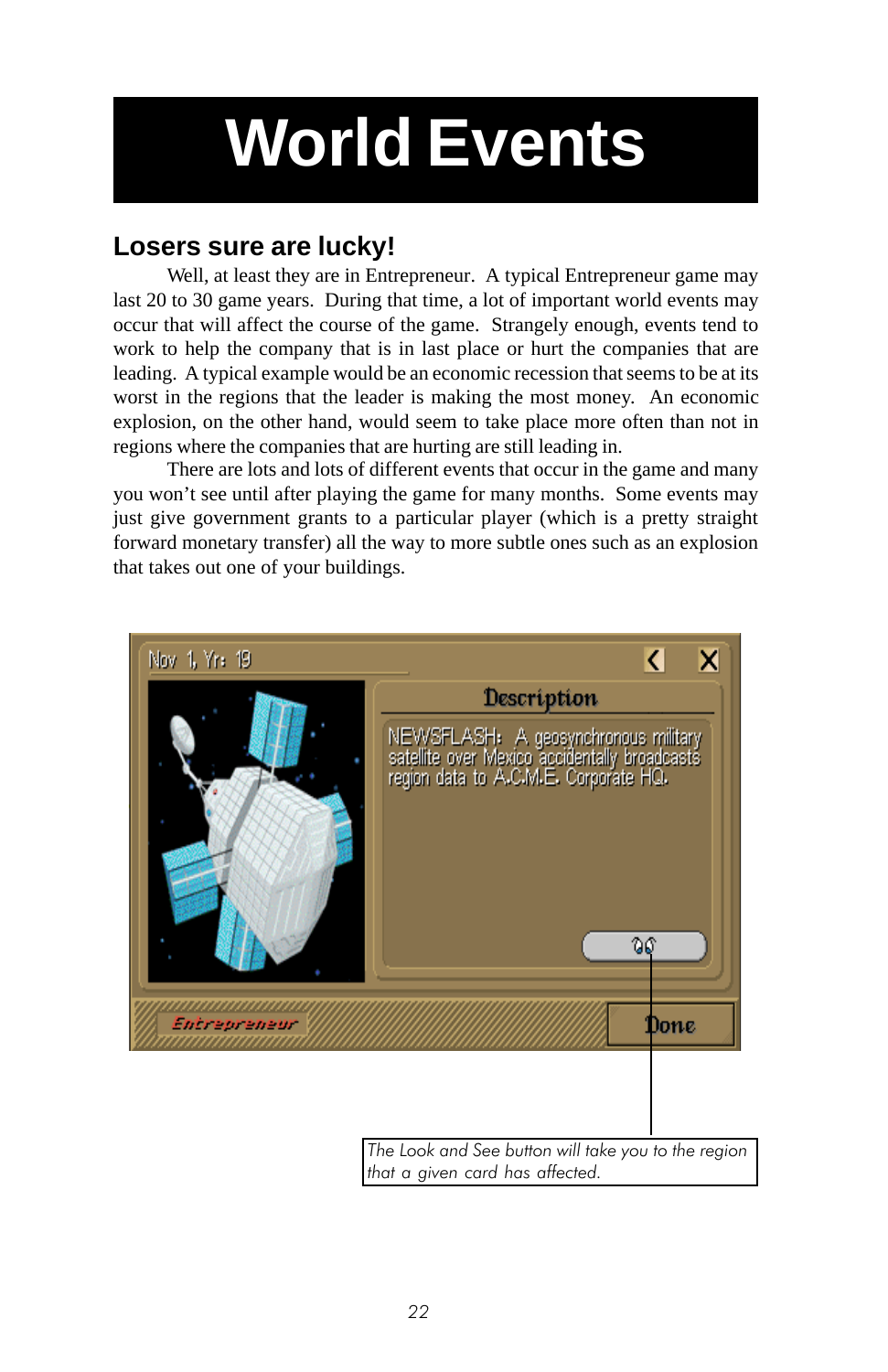# <span id="page-21-0"></span>**World Events**

## **Losers sure are lucky!**

Well, at least they are in Entrepreneur. A typical Entrepreneur game may last 20 to 30 game years. During that time, a lot of important world events may occur that will affect the course of the game. Strangely enough, events tend to work to help the company that is in last place or hurt the companies that are leading. A typical example would be an economic recession that seems to be at its worst in the regions that the leader is making the most money. An economic explosion, on the other hand, would seem to take place more often than not in regions where the companies that are hurting are still leading in.

There are lots and lots of different events that occur in the game and many you won't see until after playing the game for many months. Some events may just give government grants to a particular player (which is a pretty straight forward monetary transfer) all the way to more subtle ones such as an explosion that takes out one of your buildings.



22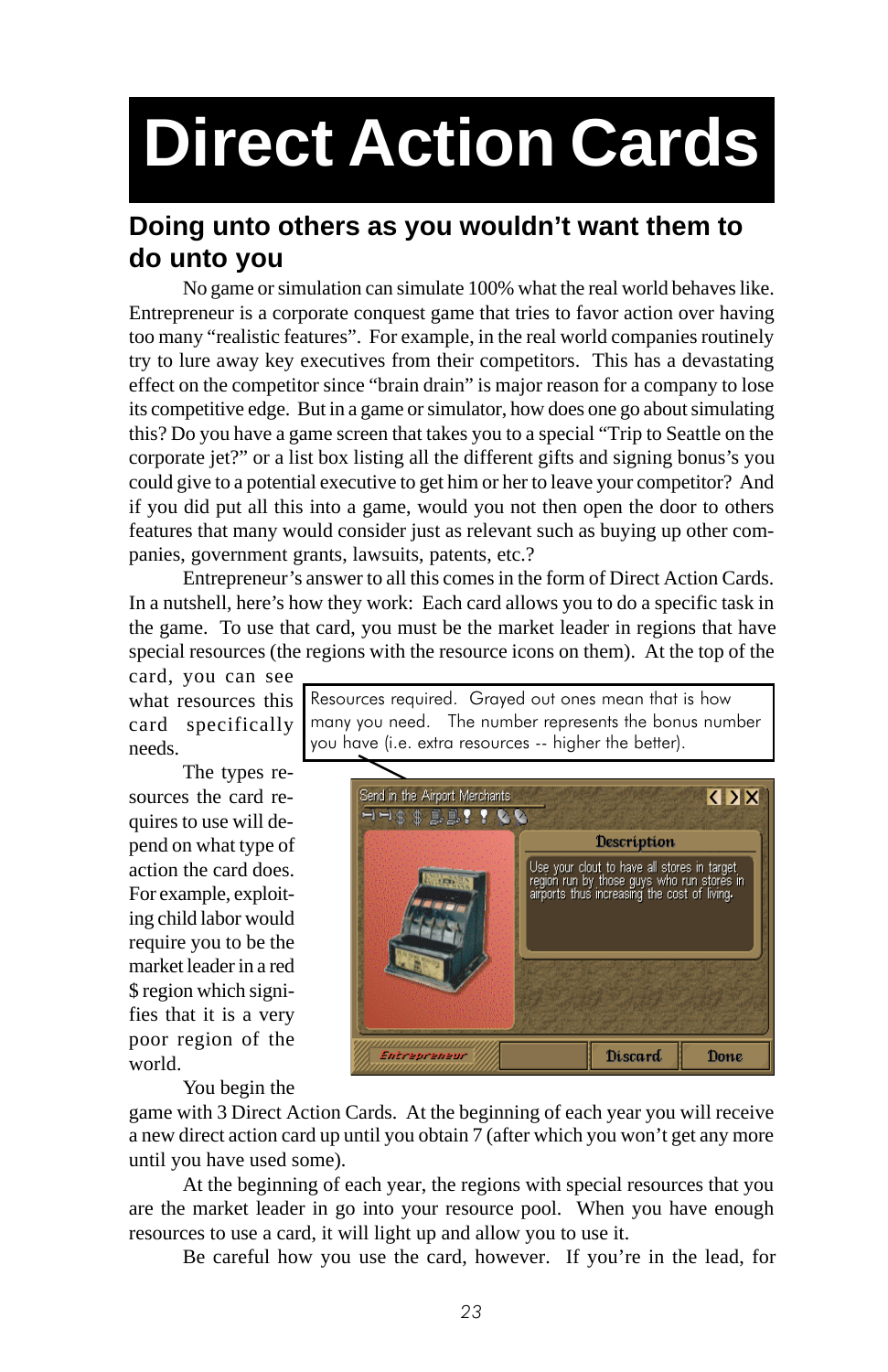# **Direct Action Cards**

## **Doing unto others as you wouldn't want them to do unto you**

No game or simulation can simulate 100% what the real world behaves like. Entrepreneur is a corporate conquest game that tries to favor action over having too many "realistic features". For example, in the real world companies routinely try to lure away key executives from their competitors. This has a devastating effect on the competitor since "brain drain" is major reason for a company to lose its competitive edge. But in a game or simulator, how does one go about simulating this? Do you have a game screen that takes you to a special "Trip to Seattle on the corporate jet?" or a list box listing all the different gifts and signing bonus's you could give to a potential executive to get him or her to leave your competitor? And if you did put all this into a game, would you not then open the door to others features that many would consider just as relevant such as buying up other companies, government grants, lawsuits, patents, etc.?

Entrepreneur's answer to all this comes in the form of Direct Action Cards. In a nutshell, here's how they work: Each card allows you to do a specific task in the game. To use that card, you must be the market leader in regions that have special resources (the regions with the resource icons on them). At the top of the

card, you can see what resources this card specifically needs.

The types resources the card requires to use will depend on what type of action the card does. For example, exploiting child labor would require you to be the market leader in a red \$ region which signifies that it is a very poor region of the world.

Resources required. Grayed out ones mean that is how many you need. The number represents the bonus number you have (i.e. extra resources -- higher the better).



You begin the

game with 3 Direct Action Cards. At the beginning of each year you will receive a new direct action card up until you obtain 7 (after which you won't get any more until you have used some).

At the beginning of each year, the regions with special resources that you are the market leader in go into your resource pool. When you have enough resources to use a card, it will light up and allow you to use it.

Be careful how you use the card, however. If you're in the lead, for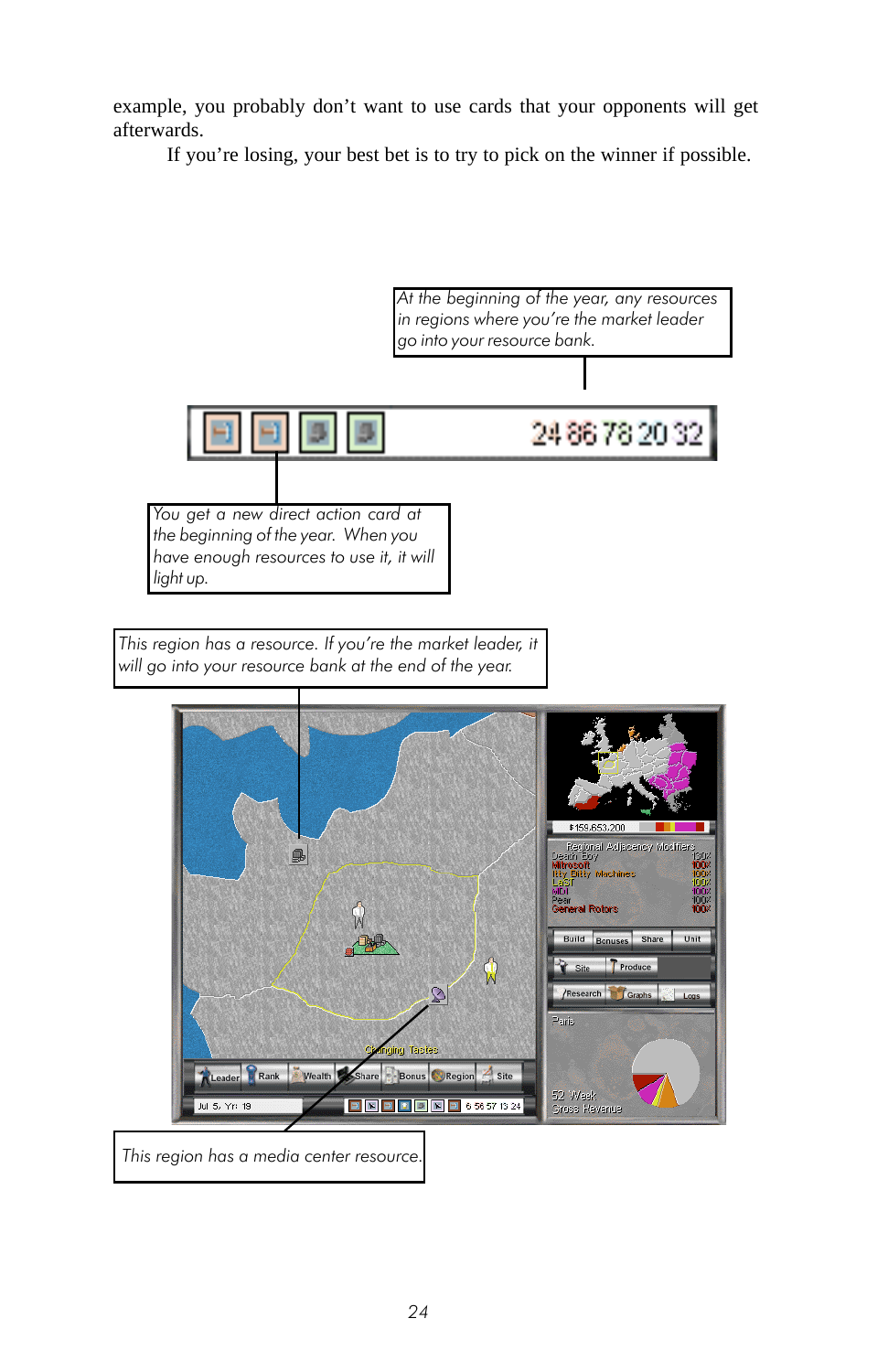<span id="page-23-0"></span>example, you probably don't want to use cards that your opponents will get afterwards.

If you're losing, your best bet is to try to pick on the winner if possible.



This region has a resource. If you're the market leader, it will go into your resource bank at the end of the year.



This region has a media center resource.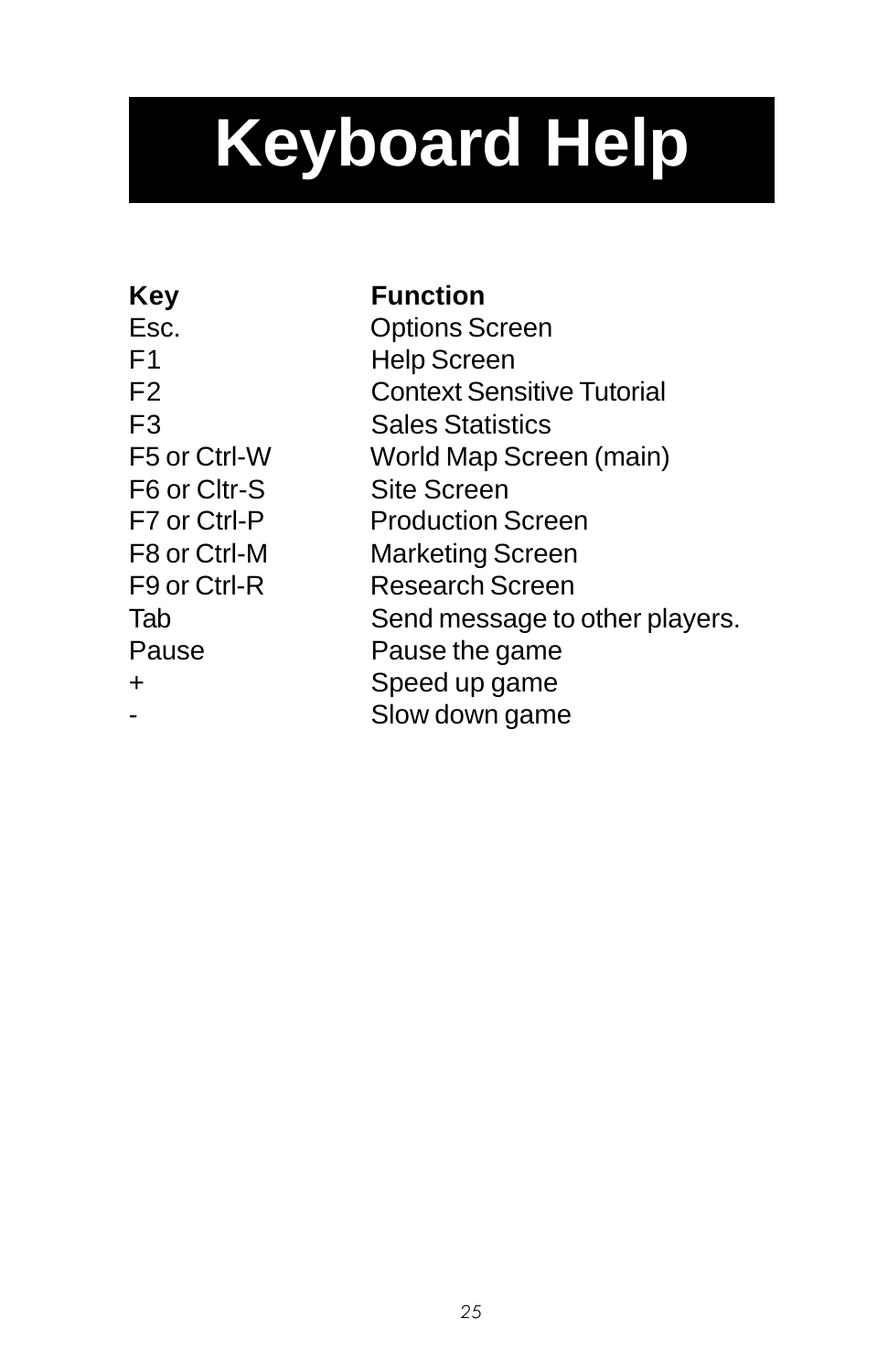# <span id="page-24-0"></span>**Keyboard Help**

**Key Function**

Esc. Options Screen F1 Help Screen F2 Context Sensitive Tutorial F3 Sales Statistics F5 or Ctrl-W World Map Screen (main) F6 or Cltr-S Site Screen F7 or Ctrl-P Production Screen F8 or Ctrl-M Marketing Screen F9 or Ctrl-R Research Screen Tab Send message to other players. Pause **Pause Pause** the game + Speed up game Slow down game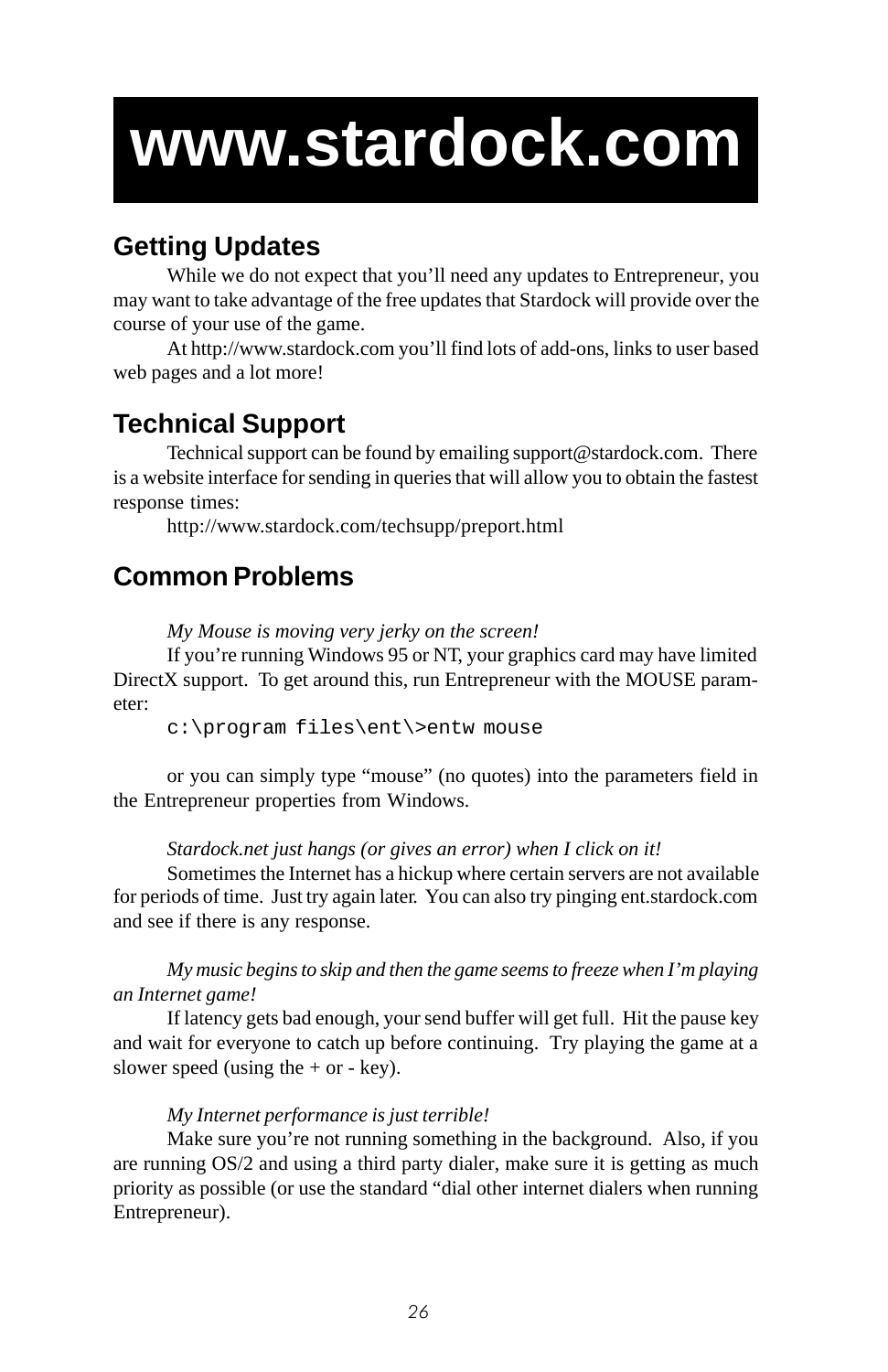# **www.stardock.com**

# **Getting Updates**

While we do not expect that you'll need any updates to Entrepreneur, you may want to take advantage of the free updates that Stardock will provide over the course of your use of the game.

At http://www.stardock.com you'll find lots of add-ons, links to user based web pages and a lot more!

# **Technical Support**

Technical support can be found by emailing support@stardock.com. There is a website interface for sending in queries that will allow you to obtain the fastest response times:

http://www.stardock.com/techsupp/preport.html

# **Common Problems**

*My Mouse is moving very jerky on the screen!*

If you're running Windows 95 or NT, your graphics card may have limited DirectX support. To get around this, run Entrepreneur with the MOUSE parameter:

c:\program files\ent\>entw mouse

or you can simply type "mouse" (no quotes) into the parameters field in the Entrepreneur properties from Windows.

*Stardock.net just hangs (or gives an error) when I click on it!*

Sometimes the Internet has a hickup where certain servers are not available for periods of time. Just try again later. You can also try pinging ent.stardock.com and see if there is any response.

*My music begins to skip and then the game seems to freeze when I'm playing an Internet game!*

If latency gets bad enough, your send buffer will get full. Hit the pause key and wait for everyone to catch up before continuing. Try playing the game at a slower speed (using the  $+$  or  $-$  key).

#### *My Internet performance is just terrible!*

Make sure you're not running something in the background. Also, if you are running OS/2 and using a third party dialer, make sure it is getting as much priority as possible (or use the standard "dial other internet dialers when running Entrepreneur).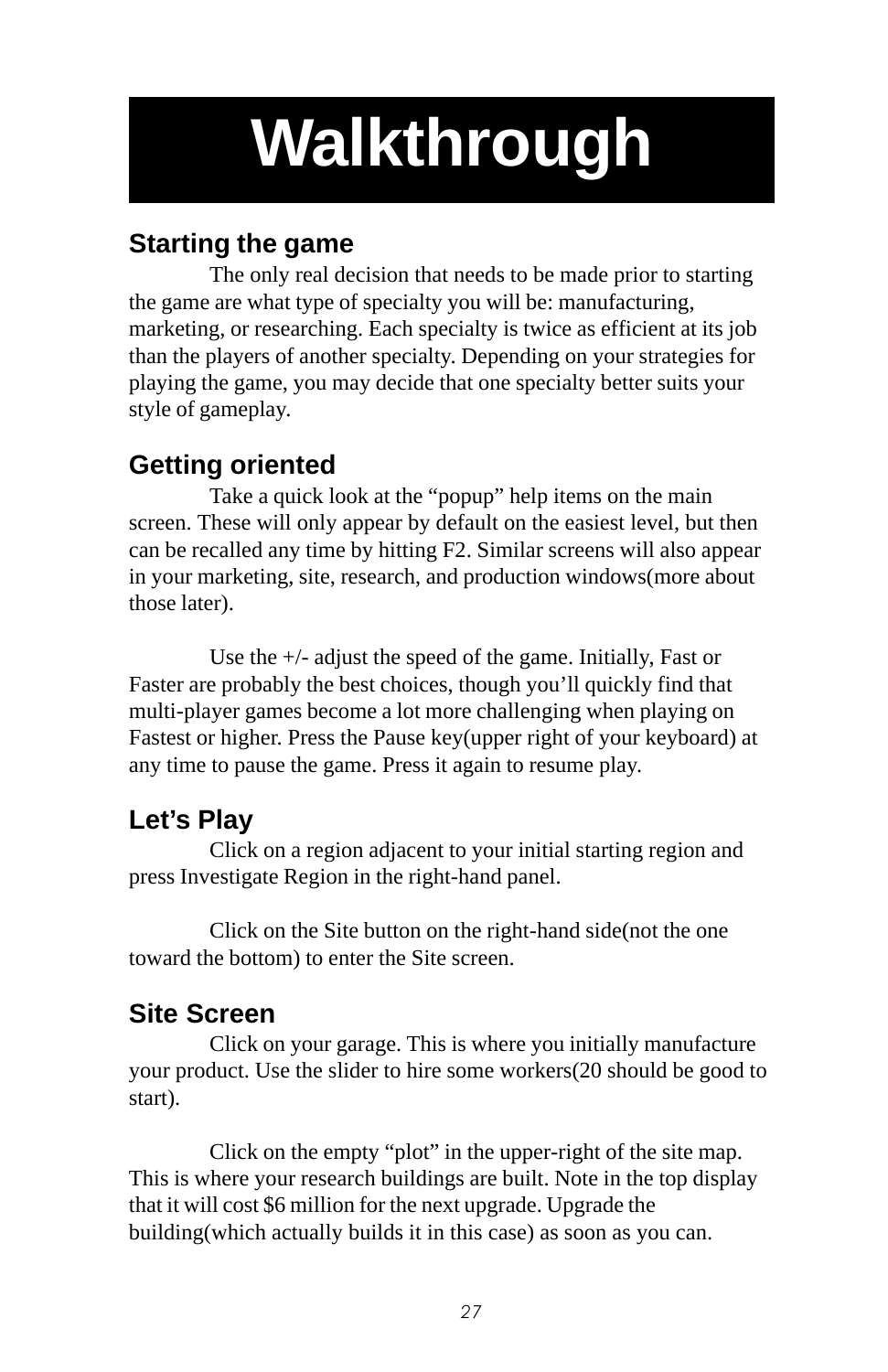# **Walkthrough**

# **Starting the game**

The only real decision that needs to be made prior to starting the game are what type of specialty you will be: manufacturing, marketing, or researching. Each specialty is twice as efficient at its job than the players of another specialty. Depending on your strategies for playing the game, you may decide that one specialty better suits your style of gameplay.

# **Getting oriented**

Take a quick look at the "popup" help items on the main screen. These will only appear by default on the easiest level, but then can be recalled any time by hitting F2. Similar screens will also appear in your marketing, site, research, and production windows(more about those later).

Use the +/- adjust the speed of the game. Initially, Fast or Faster are probably the best choices, though you'll quickly find that multi-player games become a lot more challenging when playing on Fastest or higher. Press the Pause key(upper right of your keyboard) at any time to pause the game. Press it again to resume play.

# **Let's Play**

Click on a region adjacent to your initial starting region and press Investigate Region in the right-hand panel.

Click on the Site button on the right-hand side(not the one toward the bottom) to enter the Site screen.

# **Site Screen**

Click on your garage. This is where you initially manufacture your product. Use the slider to hire some workers(20 should be good to start).

Click on the empty "plot" in the upper-right of the site map. This is where your research buildings are built. Note in the top display that it will cost \$6 million for the next upgrade. Upgrade the building(which actually builds it in this case) as soon as you can.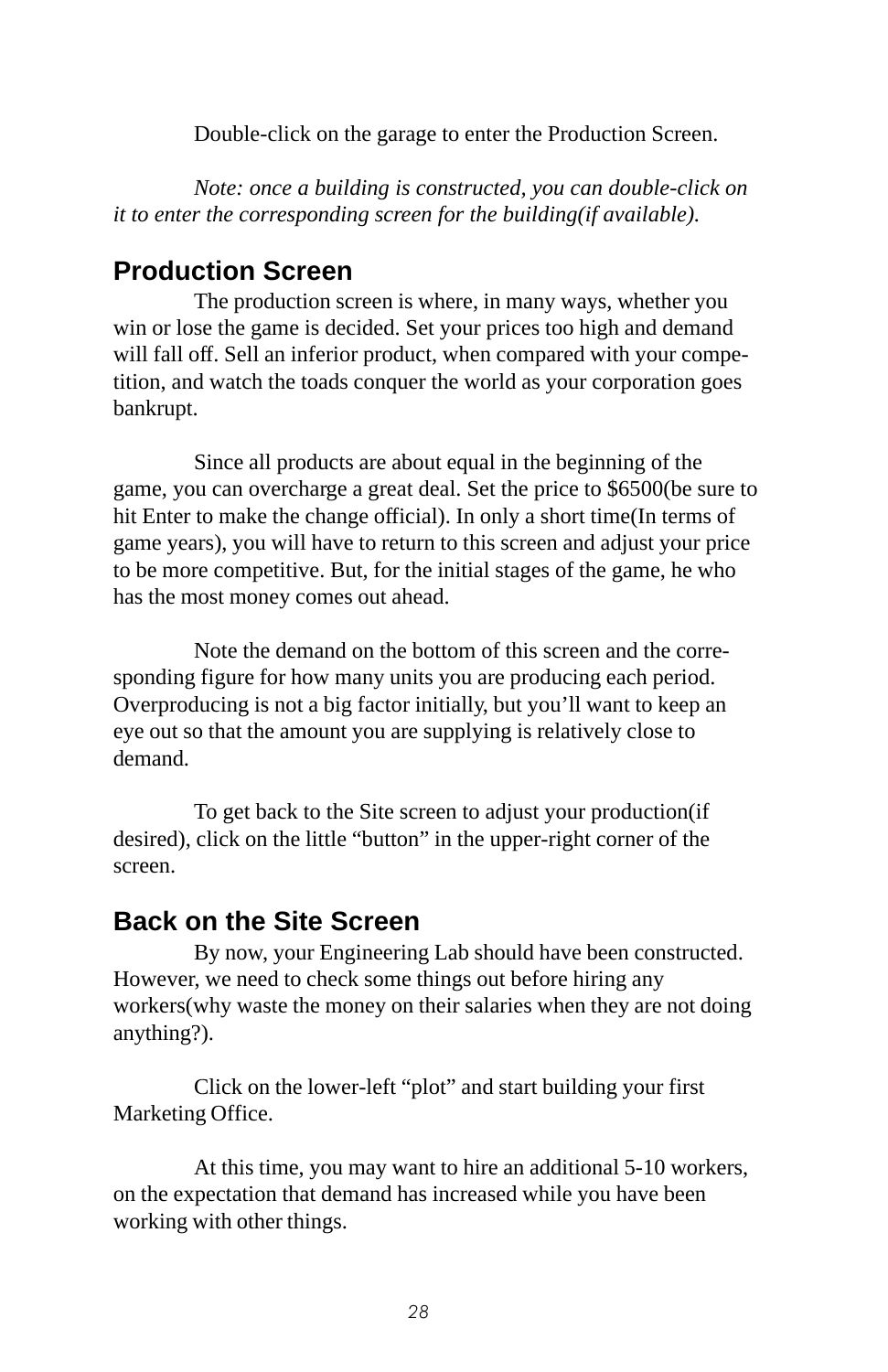Double-click on the garage to enter the Production Screen.

*Note: once a building is constructed, you can double-click on it to enter the corresponding screen for the building(if available).*

## **Production Screen**

The production screen is where, in many ways, whether you win or lose the game is decided. Set your prices too high and demand will fall off. Sell an inferior product, when compared with your competition, and watch the toads conquer the world as your corporation goes bankrupt.

Since all products are about equal in the beginning of the game, you can overcharge a great deal. Set the price to \$6500(be sure to hit Enter to make the change official). In only a short time(In terms of game years), you will have to return to this screen and adjust your price to be more competitive. But, for the initial stages of the game, he who has the most money comes out ahead.

Note the demand on the bottom of this screen and the corresponding figure for how many units you are producing each period. Overproducing is not a big factor initially, but you'll want to keep an eye out so that the amount you are supplying is relatively close to demand.

To get back to the Site screen to adjust your production(if desired), click on the little "button" in the upper-right corner of the screen.

### **Back on the Site Screen**

By now, your Engineering Lab should have been constructed. However, we need to check some things out before hiring any workers(why waste the money on their salaries when they are not doing anything?).

Click on the lower-left "plot" and start building your first Marketing Office.

At this time, you may want to hire an additional 5-10 workers, on the expectation that demand has increased while you have been working with other things.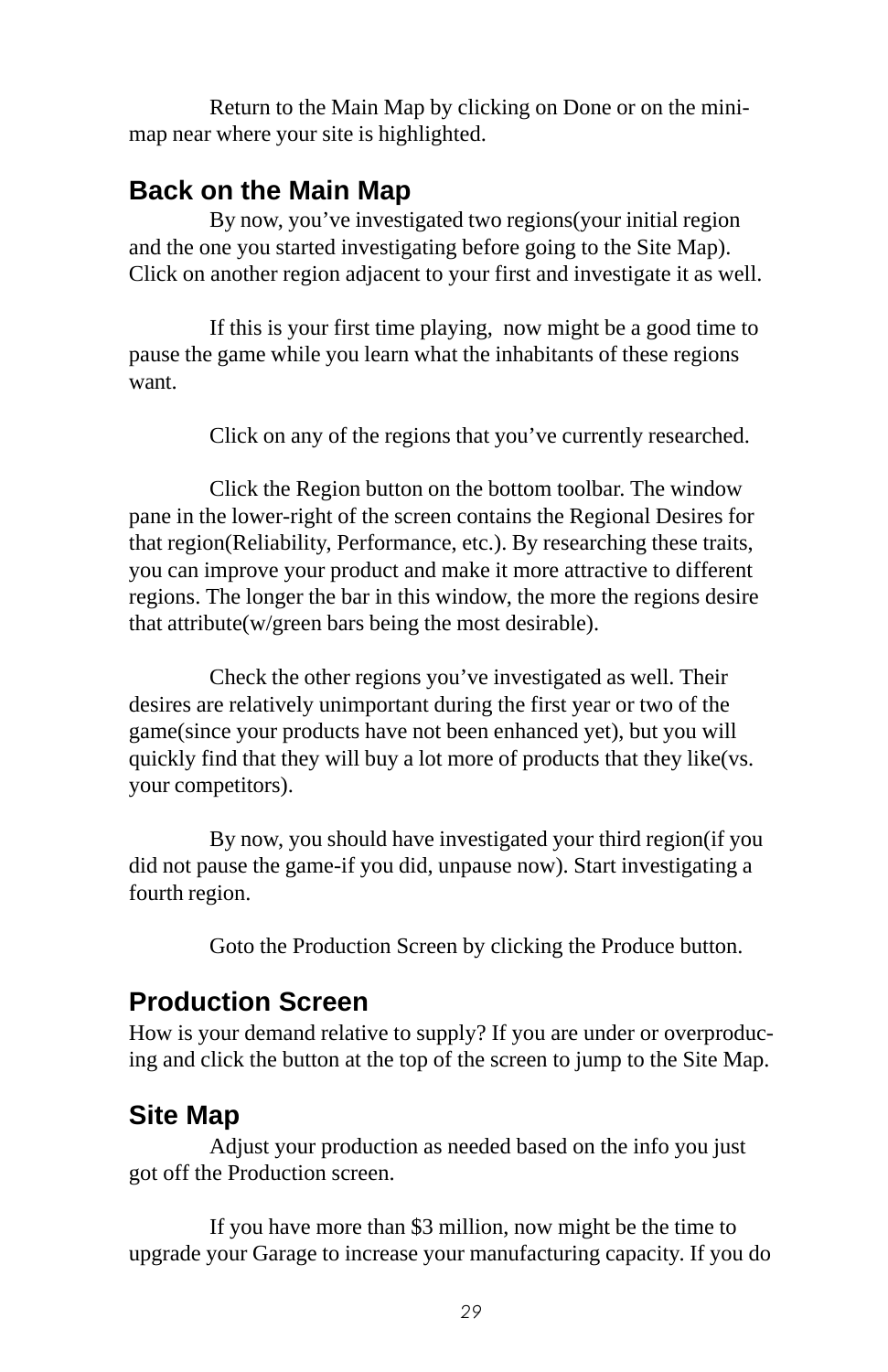Return to the Main Map by clicking on Done or on the minimap near where your site is highlighted.

## **Back on the Main Map**

By now, you've investigated two regions(your initial region and the one you started investigating before going to the Site Map). Click on another region adjacent to your first and investigate it as well.

If this is your first time playing, now might be a good time to pause the game while you learn what the inhabitants of these regions want.

Click on any of the regions that you've currently researched.

Click the Region button on the bottom toolbar. The window pane in the lower-right of the screen contains the Regional Desires for that region(Reliability, Performance, etc.). By researching these traits, you can improve your product and make it more attractive to different regions. The longer the bar in this window, the more the regions desire that attribute(w/green bars being the most desirable).

Check the other regions you've investigated as well. Their desires are relatively unimportant during the first year or two of the game(since your products have not been enhanced yet), but you will quickly find that they will buy a lot more of products that they like(vs. your competitors).

By now, you should have investigated your third region(if you did not pause the game-if you did, unpause now). Start investigating a fourth region.

Goto the Production Screen by clicking the Produce button.

## **Production Screen**

How is your demand relative to supply? If you are under or overproducing and click the button at the top of the screen to jump to the Site Map.

## **Site Map**

Adjust your production as needed based on the info you just got off the Production screen.

If you have more than \$3 million, now might be the time to upgrade your Garage to increase your manufacturing capacity. If you do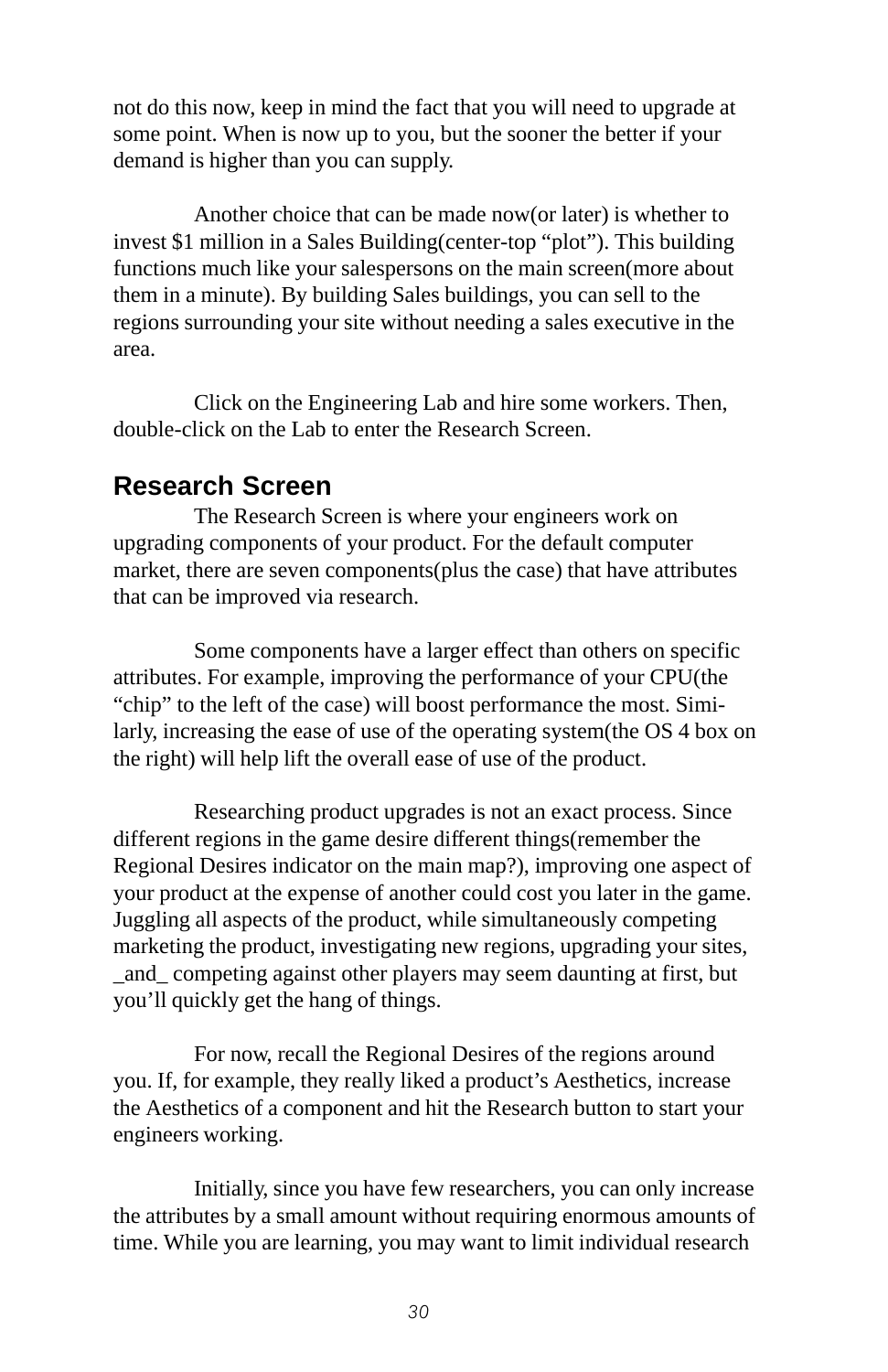not do this now, keep in mind the fact that you will need to upgrade at some point. When is now up to you, but the sooner the better if your demand is higher than you can supply.

Another choice that can be made now(or later) is whether to invest \$1 million in a Sales Building(center-top "plot"). This building functions much like your salespersons on the main screen(more about them in a minute). By building Sales buildings, you can sell to the regions surrounding your site without needing a sales executive in the area.

Click on the Engineering Lab and hire some workers. Then, double-click on the Lab to enter the Research Screen.

### **Research Screen**

The Research Screen is where your engineers work on upgrading components of your product. For the default computer market, there are seven components(plus the case) that have attributes that can be improved via research.

Some components have a larger effect than others on specific attributes. For example, improving the performance of your CPU(the "chip" to the left of the case) will boost performance the most. Similarly, increasing the ease of use of the operating system(the OS 4 box on the right) will help lift the overall ease of use of the product.

Researching product upgrades is not an exact process. Since different regions in the game desire different things(remember the Regional Desires indicator on the main map?), improving one aspect of your product at the expense of another could cost you later in the game. Juggling all aspects of the product, while simultaneously competing marketing the product, investigating new regions, upgrading your sites, \_and\_ competing against other players may seem daunting at first, but you'll quickly get the hang of things.

For now, recall the Regional Desires of the regions around you. If, for example, they really liked a product's Aesthetics, increase the Aesthetics of a component and hit the Research button to start your engineers working.

Initially, since you have few researchers, you can only increase the attributes by a small amount without requiring enormous amounts of time. While you are learning, you may want to limit individual research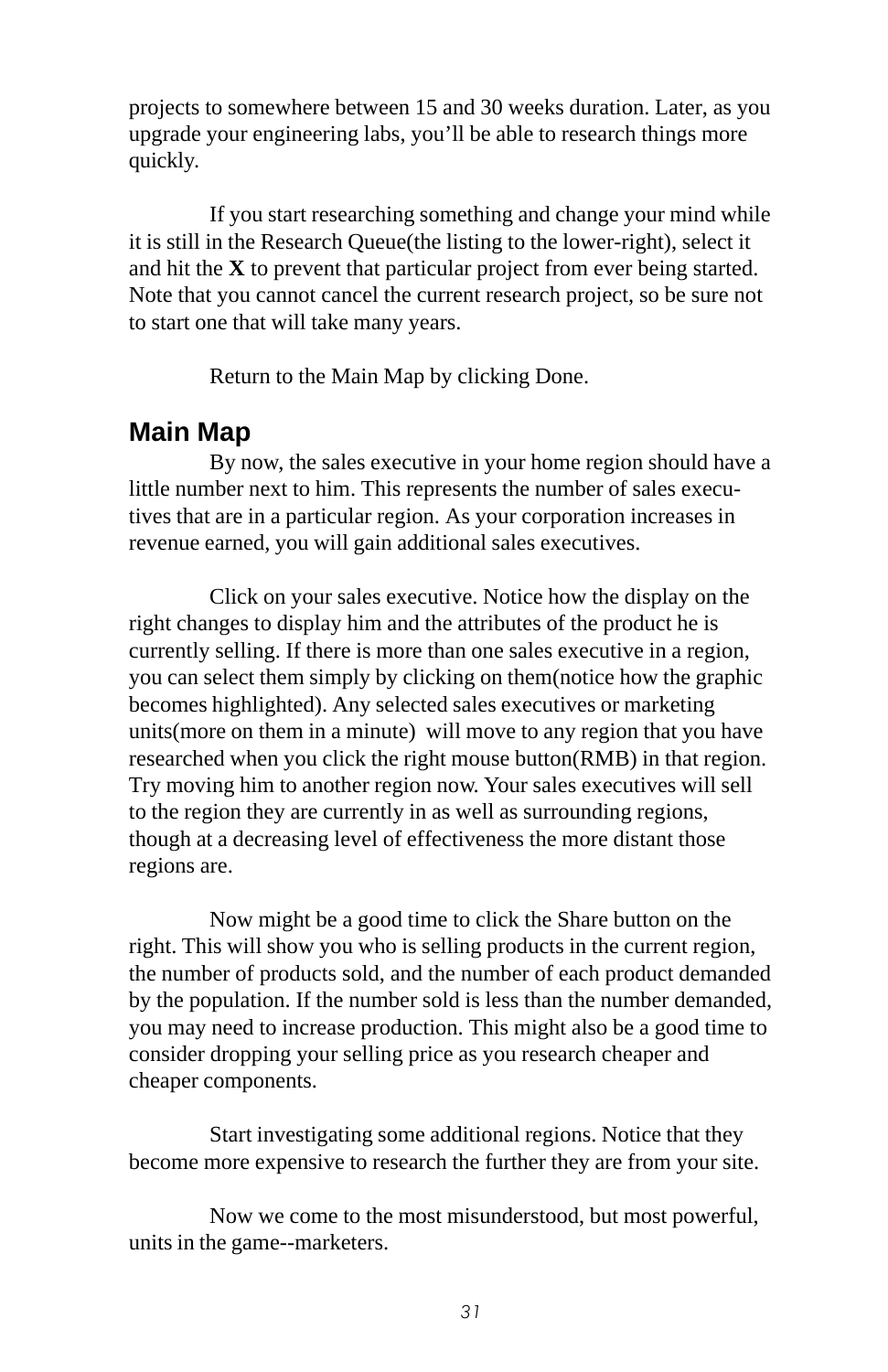projects to somewhere between 15 and 30 weeks duration. Later, as you upgrade your engineering labs, you'll be able to research things more quickly.

If you start researching something and change your mind while it is still in the Research Queue(the listing to the lower-right), select it and hit the **X** to prevent that particular project from ever being started. Note that you cannot cancel the current research project, so be sure not to start one that will take many years.

Return to the Main Map by clicking Done.

### **Main Map**

By now, the sales executive in your home region should have a little number next to him. This represents the number of sales executives that are in a particular region. As your corporation increases in revenue earned, you will gain additional sales executives.

Click on your sales executive. Notice how the display on the right changes to display him and the attributes of the product he is currently selling. If there is more than one sales executive in a region, you can select them simply by clicking on them(notice how the graphic becomes highlighted). Any selected sales executives or marketing units(more on them in a minute) will move to any region that you have researched when you click the right mouse button(RMB) in that region. Try moving him to another region now. Your sales executives will sell to the region they are currently in as well as surrounding regions, though at a decreasing level of effectiveness the more distant those regions are.

Now might be a good time to click the Share button on the right. This will show you who is selling products in the current region, the number of products sold, and the number of each product demanded by the population. If the number sold is less than the number demanded, you may need to increase production. This might also be a good time to consider dropping your selling price as you research cheaper and cheaper components.

Start investigating some additional regions. Notice that they become more expensive to research the further they are from your site.

Now we come to the most misunderstood, but most powerful, units in the game--marketers.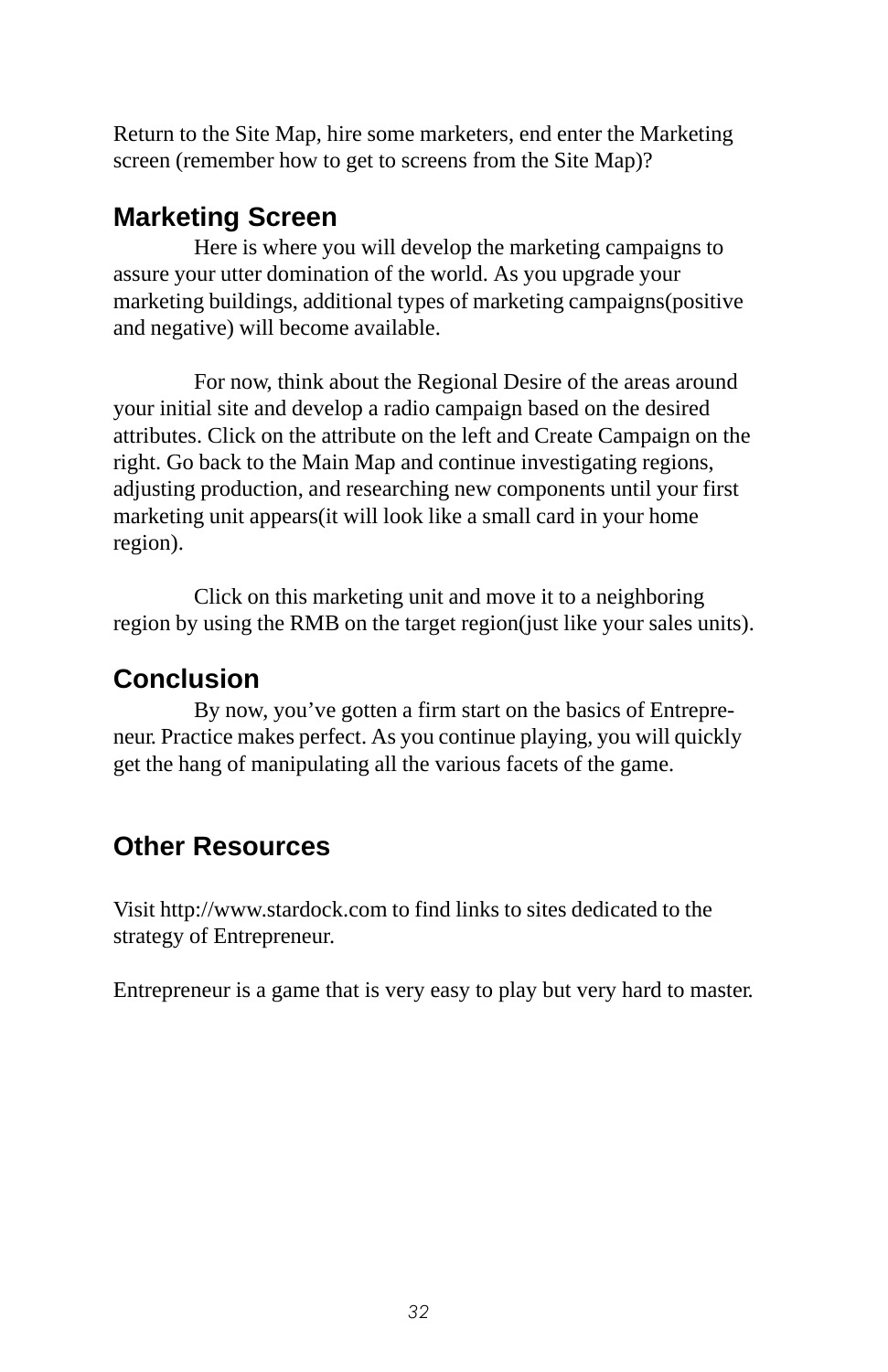Return to the Site Map, hire some marketers, end enter the Marketing screen (remember how to get to screens from the Site Map)?

## **Marketing Screen**

Here is where you will develop the marketing campaigns to assure your utter domination of the world. As you upgrade your marketing buildings, additional types of marketing campaigns(positive and negative) will become available.

For now, think about the Regional Desire of the areas around your initial site and develop a radio campaign based on the desired attributes. Click on the attribute on the left and Create Campaign on the right. Go back to the Main Map and continue investigating regions, adjusting production, and researching new components until your first marketing unit appears(it will look like a small card in your home region).

Click on this marketing unit and move it to a neighboring region by using the RMB on the target region(just like your sales units).

## **Conclusion**

By now, you've gotten a firm start on the basics of Entrepreneur. Practice makes perfect. As you continue playing, you will quickly get the hang of manipulating all the various facets of the game.

## **Other Resources**

Visit http://www.stardock.com to find links to sites dedicated to the strategy of Entrepreneur.

Entrepreneur is a game that is very easy to play but very hard to master.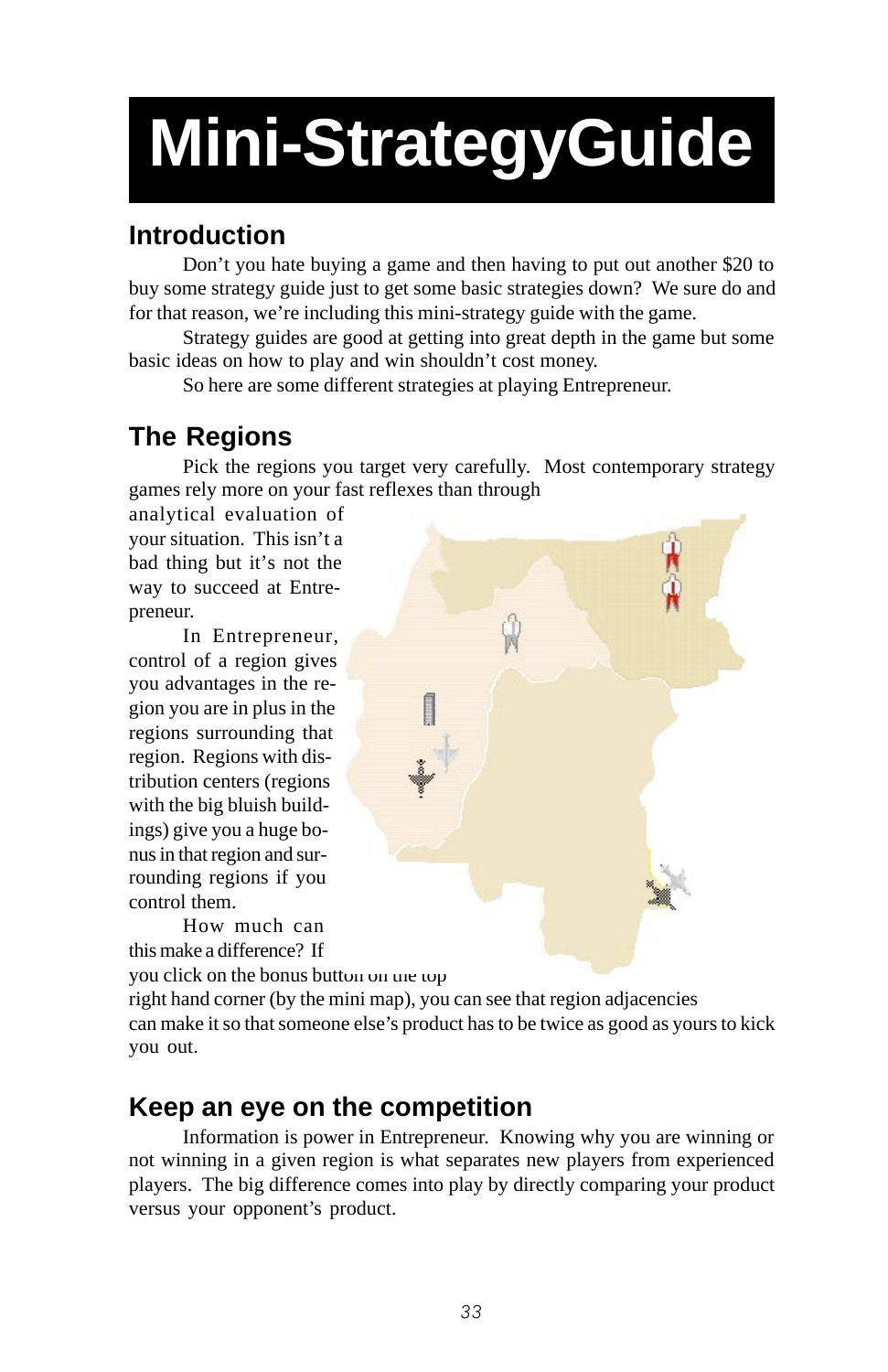# **Mini-StrategyGuide**

# **Introduction**

Don't you hate buying a game and then having to put out another \$20 to buy some strategy guide just to get some basic strategies down? We sure do and for that reason, we're including this mini-strategy guide with the game.

Strategy guides are good at getting into great depth in the game but some basic ideas on how to play and win shouldn't cost money.

So here are some different strategies at playing Entrepreneur.

# **The Regions**

Pick the regions you target very carefully. Most contemporary strategy games rely more on your fast reflexes than through

analytical evaluation of your situation. This isn't a bad thing but it's not the way to succeed at Entrepreneur.

In Entrepreneur, control of a region gives you advantages in the region you are in plus in the regions surrounding that region. Regions with distribution centers (regions with the big bluish buildings) give you a huge bonus in that region and surrounding regions if you control them.

How much can this make a difference? If you click on the bonus button on the top



right hand corner (by the mini map), you can see that region adjacencies can make it so that someone else's product has to be twice as good as yours to kick you out.

## **Keep an eye on the competition**

Information is power in Entrepreneur. Knowing why you are winning or not winning in a given region is what separates new players from experienced players. The big difference comes into play by directly comparing your product versus your opponent's product.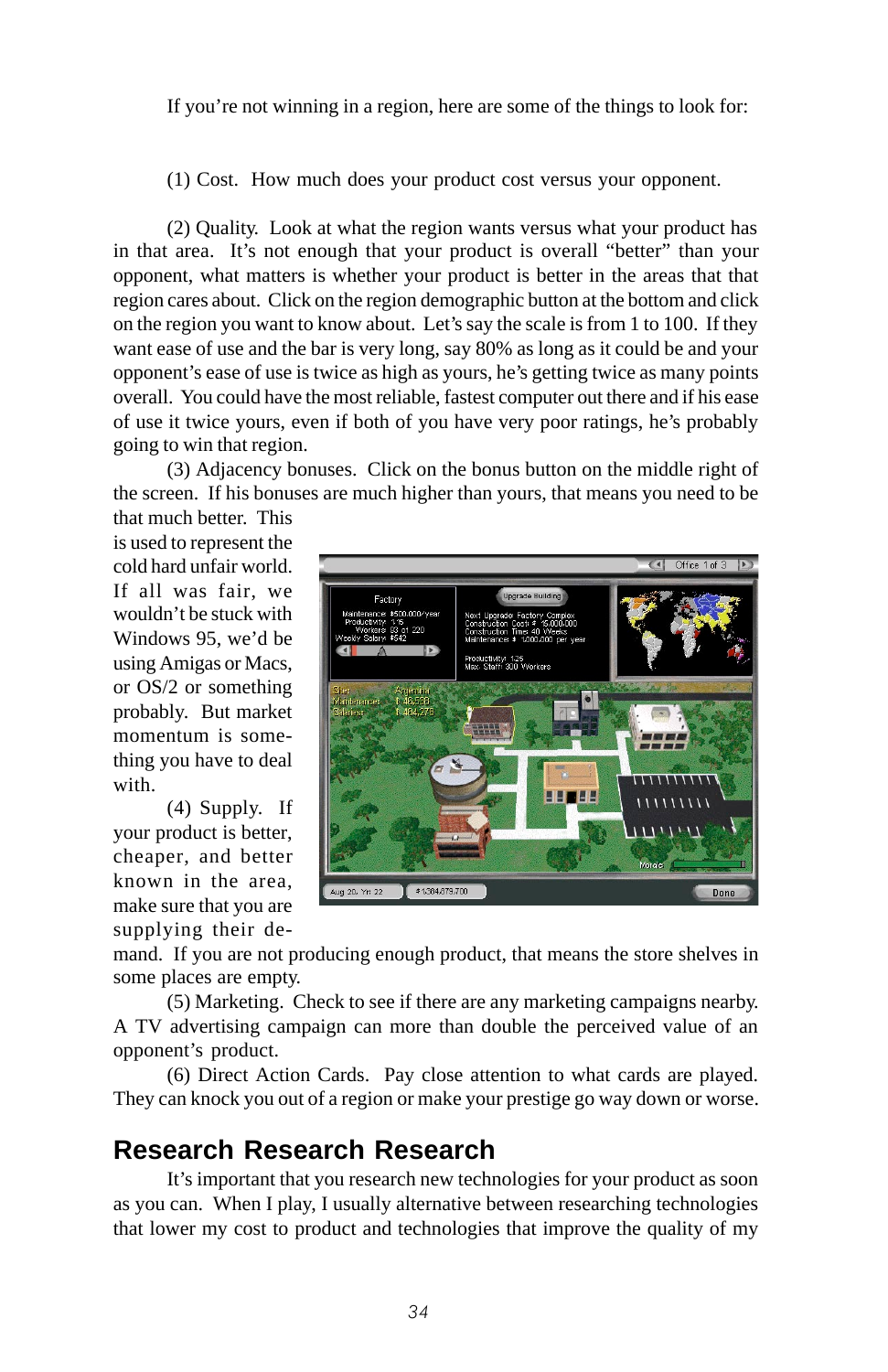If you're not winning in a region, here are some of the things to look for:

(1) Cost. How much does your product cost versus your opponent.

(2) Quality. Look at what the region wants versus what your product has in that area. It's not enough that your product is overall "better" than your opponent, what matters is whether your product is better in the areas that that region cares about. Click on the region demographic button at the bottom and click on the region you want to know about. Let's say the scale is from 1 to 100. If they want ease of use and the bar is very long, say 80% as long as it could be and your opponent's ease of use is twice as high as yours, he's getting twice as many points overall. You could have the most reliable, fastest computer out there and if his ease of use it twice yours, even if both of you have very poor ratings, he's probably going to win that region.

(3) Adjacency bonuses. Click on the bonus button on the middle right of the screen. If his bonuses are much higher than yours, that means you need to be

that much better. This is used to represent the cold hard unfair world. If all was fair, we wouldn't be stuck with Windows 95, we'd be using Amigas or Macs, or OS/2 or something probably. But market momentum is something you have to deal with.

(4) Supply. If your product is better, cheaper, and better known in the area, make sure that you are supplying their de-



mand. If you are not producing enough product, that means the store shelves in some places are empty.

(5) Marketing. Check to see if there are any marketing campaigns nearby. A TV advertising campaign can more than double the perceived value of an opponent's product.

(6) Direct Action Cards. Pay close attention to what cards are played. They can knock you out of a region or make your prestige go way down or worse.

## **Research Research Research**

It's important that you research new technologies for your product as soon as you can. When I play, I usually alternative between researching technologies that lower my cost to product and technologies that improve the quality of my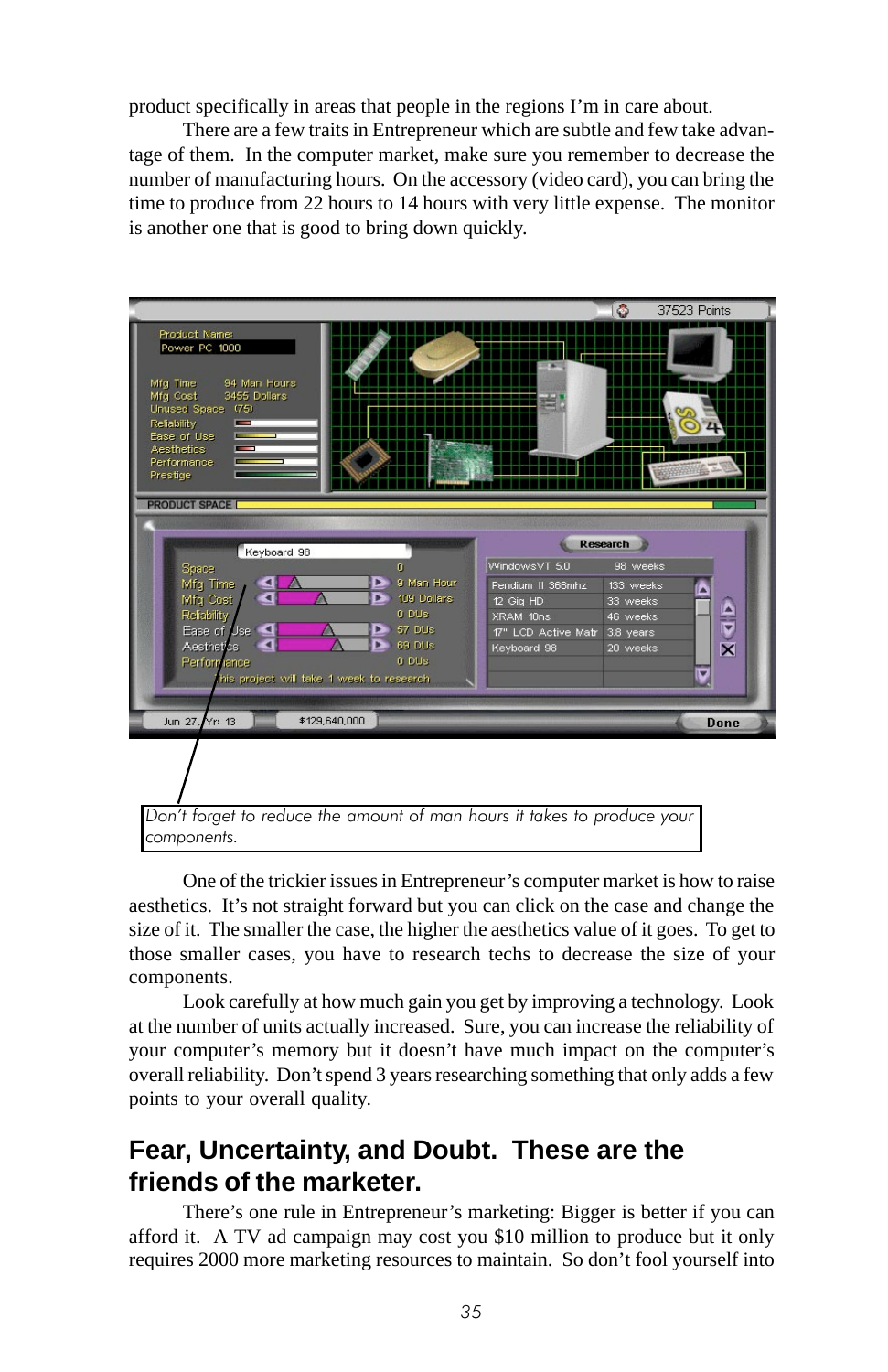product specifically in areas that people in the regions I'm in care about.

There are a few traits in Entrepreneur which are subtle and few take advantage of them. In the computer market, make sure you remember to decrease the number of manufacturing hours. On the accessory (video card), you can bring the time to produce from 22 hours to 14 hours with very little expense. The monitor is another one that is good to bring down quickly.



One of the trickier issues in Entrepreneur's computer market is how to raise aesthetics. It's not straight forward but you can click on the case and change the size of it. The smaller the case, the higher the aesthetics value of it goes. To get to those smaller cases, you have to research techs to decrease the size of your components.

Look carefully at how much gain you get by improving a technology. Look at the number of units actually increased. Sure, you can increase the reliability of your computer's memory but it doesn't have much impact on the computer's overall reliability. Don't spend 3 years researching something that only adds a few points to your overall quality.

## **Fear, Uncertainty, and Doubt. These are the friends of the marketer.**

There's one rule in Entrepreneur's marketing: Bigger is better if you can afford it. A TV ad campaign may cost you \$10 million to produce but it only requires 2000 more marketing resources to maintain. So don't fool yourself into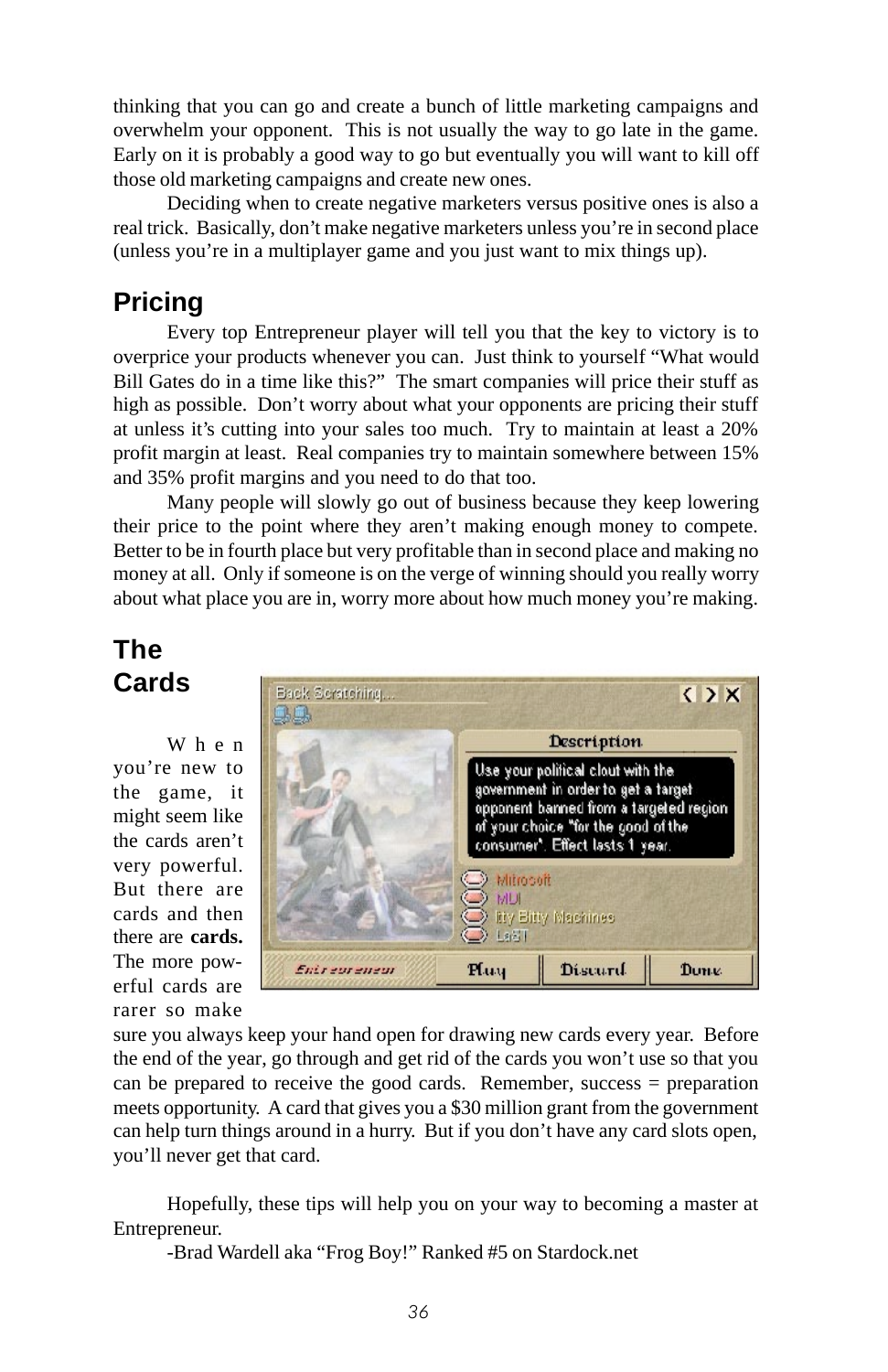thinking that you can go and create a bunch of little marketing campaigns and overwhelm your opponent. This is not usually the way to go late in the game. Early on it is probably a good way to go but eventually you will want to kill off those old marketing campaigns and create new ones.

Deciding when to create negative marketers versus positive ones is also a real trick. Basically, don't make negative marketers unless you're in second place (unless you're in a multiplayer game and you just want to mix things up).

### **Pricing**

Every top Entrepreneur player will tell you that the key to victory is to overprice your products whenever you can. Just think to yourself "What would Bill Gates do in a time like this?" The smart companies will price their stuff as high as possible. Don't worry about what your opponents are pricing their stuff at unless it's cutting into your sales too much. Try to maintain at least a 20% profit margin at least. Real companies try to maintain somewhere between 15% and 35% profit margins and you need to do that too.

Many people will slowly go out of business because they keep lowering their price to the point where they aren't making enough money to compete. Better to be in fourth place but very profitable than in second place and making no money at all. Only if someone is on the verge of winning should you really worry about what place you are in, worry more about how much money you're making.

## **The Cards**

When you're new to the game, it might seem like the cards aren't very powerful. But there are cards and then there are **cards.** The more powerful cards are rarer so make



sure you always keep your hand open for drawing new cards every year. Before the end of the year, go through and get rid of the cards you won't use so that you can be prepared to receive the good cards. Remember, success = preparation meets opportunity. A card that gives you a \$30 million grant from the government can help turn things around in a hurry. But if you don't have any card slots open, you'll never get that card.

Hopefully, these tips will help you on your way to becoming a master at Entrepreneur.

-Brad Wardell aka "Frog Boy!" Ranked #5 on Stardock.net